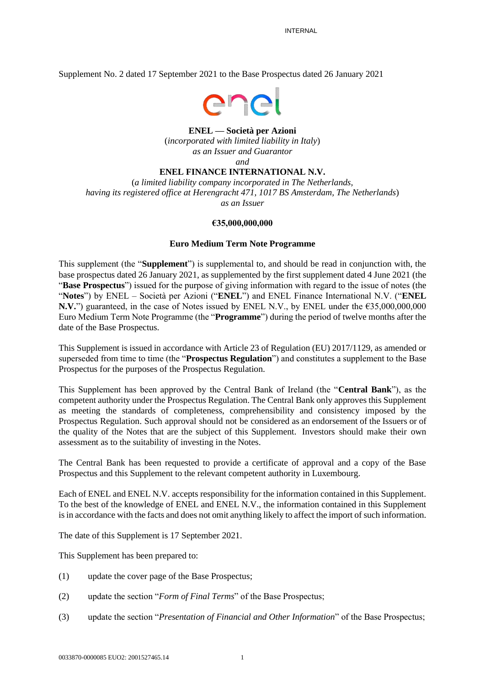Supplement No. 2 dated 17 September 2021 to the Base Prospectus dated 26 January 2021



#### **ENEL — Società per Azioni**

(*incorporated with limited liability in Italy*) *as an Issuer and Guarantor and*

#### **ENEL FINANCE INTERNATIONAL N.V.**

(*a limited liability company incorporated in The Netherlands, having its registered office at Herengracht 471, 1017 BS Amsterdam, The Netherlands*) *as an Issuer*

#### **€35,000,000,000**

#### **Euro Medium Term Note Programme**

This supplement (the "**Supplement**") is supplemental to, and should be read in conjunction with, the base prospectus dated 26 January 2021, as supplemented by the first supplement dated 4 June 2021 (the "**Base Prospectus**") issued for the purpose of giving information with regard to the issue of notes (the "**Notes**") by ENEL – Società per Azioni ("**ENEL**") and ENEL Finance International N.V. ("**ENEL N.V.**") guaranteed, in the case of Notes issued by ENEL N.V., by ENEL under the €35,000,000,000 Euro Medium Term Note Programme (the "**Programme**") during the period of twelve months after the date of the Base Prospectus.

This Supplement is issued in accordance with Article 23 of Regulation (EU) 2017/1129, as amended or superseded from time to time (the "**Prospectus Regulation**") and constitutes a supplement to the Base Prospectus for the purposes of the Prospectus Regulation.

This Supplement has been approved by the Central Bank of Ireland (the "**Central Bank**"), as the competent authority under the Prospectus Regulation. The Central Bank only approves this Supplement as meeting the standards of completeness, comprehensibility and consistency imposed by the Prospectus Regulation. Such approval should not be considered as an endorsement of the Issuers or of the quality of the Notes that are the subject of this Supplement. Investors should make their own assessment as to the suitability of investing in the Notes.

The Central Bank has been requested to provide a certificate of approval and a copy of the Base Prospectus and this Supplement to the relevant competent authority in Luxembourg.

Each of ENEL and ENEL N.V. accepts responsibility for the information contained in this Supplement. To the best of the knowledge of ENEL and ENEL N.V., the information contained in this Supplement is in accordance with the facts and does not omit anything likely to affect the import of such information.

The date of this Supplement is 17 September 2021.

This Supplement has been prepared to:

- (1) update the cover page of the Base Prospectus;
- (2) update the section "*Form of Final Terms*" of the Base Prospectus;
- (3) update the section "*Presentation of Financial and Other Information*" of the Base Prospectus;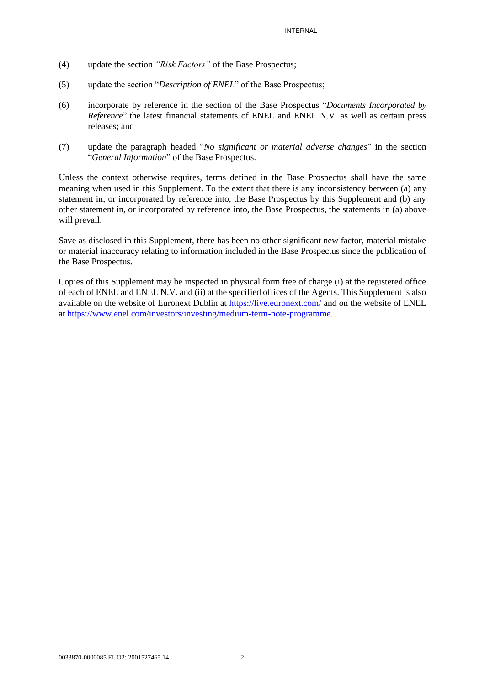- (4) update the section *"Risk Factors"* of the Base Prospectus;
- (5) update the section "*Description of ENEL*" of the Base Prospectus;
- (6) incorporate by reference in the section of the Base Prospectus "*Documents Incorporated by Reference*" the latest financial statements of ENEL and ENEL N.V. as well as certain press releases; and
- (7) update the paragraph headed "*No significant or material adverse changes*" in the section "*General Information*" of the Base Prospectus.

Unless the context otherwise requires, terms defined in the Base Prospectus shall have the same meaning when used in this Supplement. To the extent that there is any inconsistency between (a) any statement in, or incorporated by reference into, the Base Prospectus by this Supplement and (b) any other statement in, or incorporated by reference into, the Base Prospectus, the statements in (a) above will prevail.

Save as disclosed in this Supplement, there has been no other significant new factor, material mistake or material inaccuracy relating to information included in the Base Prospectus since the publication of the Base Prospectus.

Copies of this Supplement may be inspected in physical form free of charge (i) at the registered office of each of ENEL and ENEL N.V. and (ii) at the specified offices of the Agents. This Supplement is also available on the website of Euronext Dublin at<https://live.euronext.com/> and on the website of ENEL at [https://www.enel.com/investors/investing/medium-term-note-programme.](https://www.enel.com/investors/investing/medium-term-note-programme)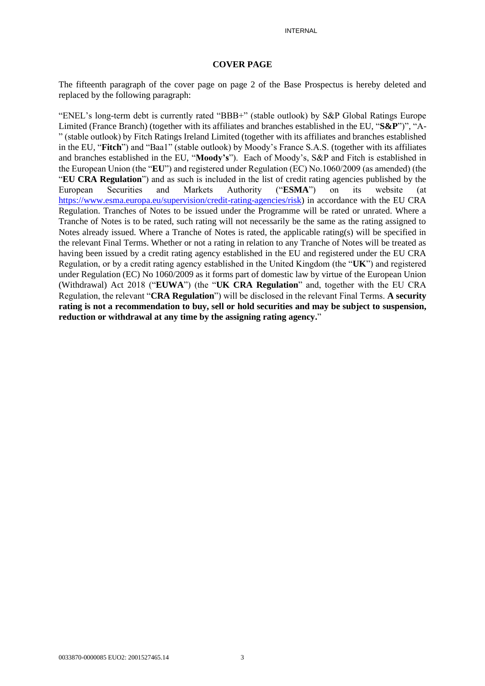#### **COVER PAGE**

The fifteenth paragraph of the cover page on page 2 of the Base Prospectus is hereby deleted and replaced by the following paragraph:

"ENEL's long-term debt is currently rated "BBB+" (stable outlook) by S&P Global Ratings Europe Limited (France Branch) (together with its affiliates and branches established in the EU, "**S&P**")", "A- " (stable outlook) by Fitch Ratings Ireland Limited (together with its affiliates and branches established in the EU, "**Fitch**") and "Baa1" (stable outlook) by Moody's France S.A.S. (together with its affiliates and branches established in the EU, "**Moody's**"). Each of Moody's, S&P and Fitch is established in the European Union (the "**EU**") and registered under Regulation (EC) No.1060/2009 (as amended) (the "**EU CRA Regulation**") and as such is included in the list of credit rating agencies published by the European Securities and Markets Authority ("**ESMA**") on its website (at [https://www.esma.europa.eu/supervision/credit-rating-agencies/risk\)](https://www.esma.europa.eu/supervision/credit-rating-agencies/risk) in accordance with the EU CRA Regulation. Tranches of Notes to be issued under the Programme will be rated or unrated. Where a Tranche of Notes is to be rated, such rating will not necessarily be the same as the rating assigned to Notes already issued. Where a Tranche of Notes is rated, the applicable rating(s) will be specified in the relevant Final Terms. Whether or not a rating in relation to any Tranche of Notes will be treated as having been issued by a credit rating agency established in the EU and registered under the EU CRA Regulation, or by a credit rating agency established in the United Kingdom (the "**UK**") and registered under Regulation (EC) No 1060/2009 as it forms part of domestic law by virtue of the European Union (Withdrawal) Act 2018 ("**EUWA**") (the "**UK CRA Regulation**" and, together with the EU CRA Regulation, the relevant "**CRA Regulation**") will be disclosed in the relevant Final Terms. **A security rating is not a recommendation to buy, sell or hold securities and may be subject to suspension, reduction or withdrawal at any time by the assigning rating agency.**"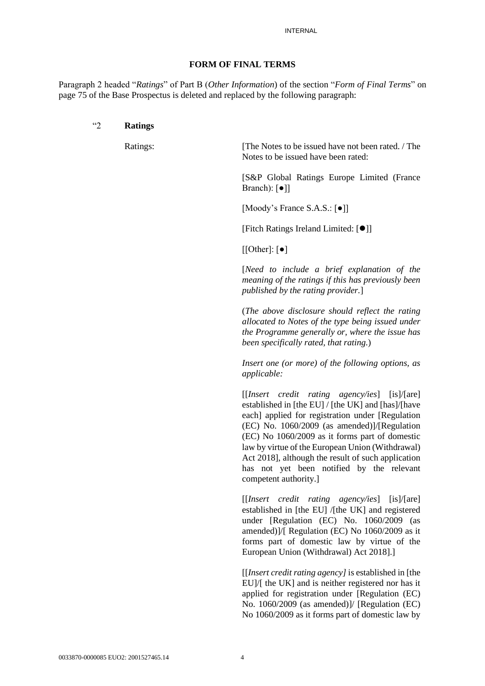#### **FORM OF FINAL TERMS**

Paragraph 2 headed "*Ratings*" of Part B (*Other Information*) of the section "*Form of Final Terms*" on page 75 of the Base Prospectus is deleted and replaced by the following paragraph:

#### "2 **Ratings**

Ratings: The Notes to be issued have not been rated. / The Notes to be issued have been rated:

> [S&P Global Ratings Europe Limited (France Branch): [●]]

[Moody's France S.A.S.: [●]]

[Fitch Ratings Ireland Limited: [⚫]]

 $[[Other]: [•]$ 

[*Need to include a brief explanation of the meaning of the ratings if this has previously been published by the rating provider.*]

(*The above disclosure should reflect the rating allocated to Notes of the type being issued under the Programme generally or, where the issue has been specifically rated, that rating.*)

*Insert one (or more) of the following options, as applicable:*

[[*Insert credit rating agency/ies*] [is]/[are] established in [the EU] / [the UK] and [has]/[have each] applied for registration under [Regulation (EC) No. 1060/2009 (as amended)]/[Regulation (EC) No 1060/2009 as it forms part of domestic law by virtue of the European Union (Withdrawal) Act 2018], although the result of such application has not yet been notified by the relevant competent authority.]

[[*Insert credit rating agency/ies*] [is]/[are] established in [the EU] /[the UK] and registered under [Regulation (EC) No. 1060/2009 (as amended)]/[ Regulation (EC) No 1060/2009 as it forms part of domestic law by virtue of the European Union (Withdrawal) Act 2018].]

[[*Insert credit rating agency]* is established in [the EU]/[ the UK] and is neither registered nor has it applied for registration under [Regulation (EC) No. 1060/2009 (as amended)]/ [Regulation (EC) No 1060/2009 as it forms part of domestic law by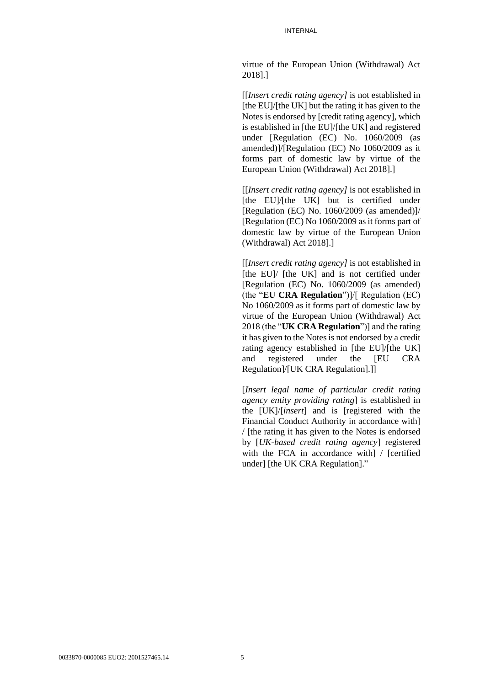virtue of the European Union (Withdrawal) Act 2018].]

[[*Insert credit rating agency]* is not established in [the EU]/[the UK] but the rating it has given to the Notes is endorsed by [credit rating agency], which is established in [the EU]/[the UK] and registered under [Regulation (EC) No. 1060/2009 (as amended)]/[Regulation (EC) No 1060/2009 as it forms part of domestic law by virtue of the European Union (Withdrawal) Act 2018].]

[[*Insert credit rating agency]* is not established in [the EU]/[the UK] but is certified under [Regulation (EC) No. 1060/2009 (as amended)]/ [Regulation (EC) No 1060/2009 as it forms part of domestic law by virtue of the European Union (Withdrawal) Act 2018].]

[[*Insert credit rating agency]* is not established in [the EU]/ [the UK] and is not certified under [Regulation (EC) No. 1060/2009 (as amended) (the "**EU CRA Regulation**")]/[ Regulation (EC) No 1060/2009 as it forms part of domestic law by virtue of the European Union (Withdrawal) Act 2018 (the "**UK CRA Regulation**")] and the rating it has given to the Notes is not endorsed by a credit rating agency established in [the EU]/[the UK] and registered under the [EU CRA Regulation]/[UK CRA Regulation].]]

[*Insert legal name of particular credit rating agency entity providing rating*] is established in the [UK]/[*insert*] and is [registered with the Financial Conduct Authority in accordance with] / [the rating it has given to the Notes is endorsed by [*UK-based credit rating agency*] registered with the FCA in accordance with / [certified] under] [the UK CRA Regulation]."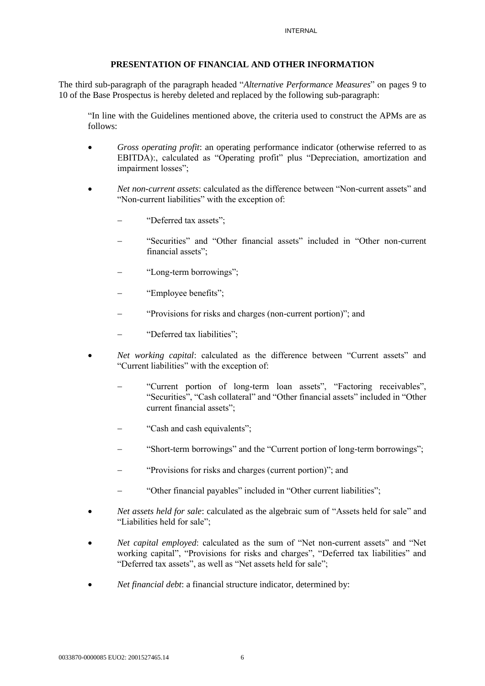### **PRESENTATION OF FINANCIAL AND OTHER INFORMATION**

The third sub-paragraph of the paragraph headed "*Alternative Performance Measures*" on pages 9 to 10 of the Base Prospectus is hereby deleted and replaced by the following sub-paragraph:

"In line with the Guidelines mentioned above, the criteria used to construct the APMs are as follows:

- *Gross operating profit*: an operating performance indicator (otherwise referred to as EBITDA):, calculated as "Operating profit" plus "Depreciation, amortization and impairment losses";
- *Net non-current assets*: calculated as the difference between "Non-current assets" and "Non-current liabilities" with the exception of:
	- − "Deferred tax assets";
	- − "Securities" and "Other financial assets" included in "Other non-current financial assets";
	- − "Long-term borrowings";
	- − "Employee benefits";
	- − "Provisions for risks and charges (non-current portion)"; and
	- − "Deferred tax liabilities";
- *Net working capital*: calculated as the difference between "Current assets" and "Current liabilities" with the exception of:
	- − "Current portion of long-term loan assets", "Factoring receivables", "Securities", "Cash collateral" and "Other financial assets" included in "Other current financial assets";
	- − "Cash and cash equivalents";
	- "Short-term borrowings" and the "Current portion of long-term borrowings";
	- − "Provisions for risks and charges (current portion)"; and
	- − "Other financial payables" included in "Other current liabilities";
- *Net assets held for sale*: calculated as the algebraic sum of "Assets held for sale" and "Liabilities held for sale";
- *Net capital employed*: calculated as the sum of "Net non-current assets" and "Net working capital", "Provisions for risks and charges", "Deferred tax liabilities" and "Deferred tax assets", as well as "Net assets held for sale";
- *Net financial debt*: a financial structure indicator, determined by: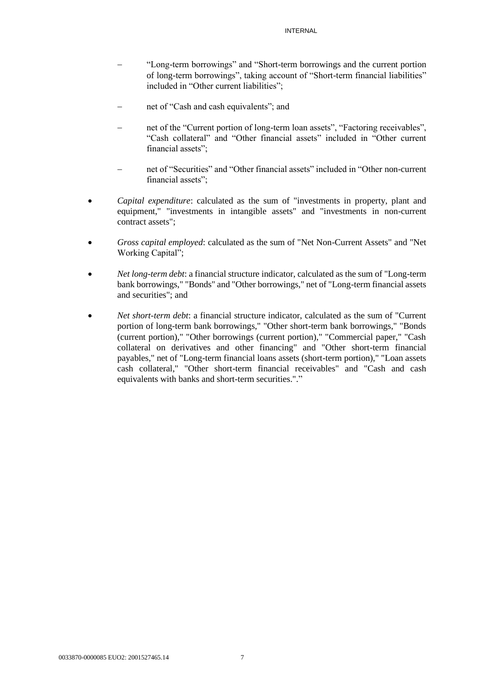- − "Long-term borrowings" and "Short-term borrowings and the current portion of long-term borrowings", taking account of "Short-term financial liabilities" included in "Other current liabilities";
- net of "Cash and cash equivalents"; and
- net of the "Current portion of long-term loan assets", "Factoring receivables", "Cash collateral" and "Other financial assets" included in "Other current financial assets";
- net of "Securities" and "Other financial assets" included in "Other non-current financial assets";
- *Capital expenditure*: calculated as the sum of "investments in property, plant and equipment," "investments in intangible assets" and "investments in non-current contract assets";
- *Gross capital employed*: calculated as the sum of "Net Non-Current Assets" and "Net Working Capital";
- *Net long-term debt*: a financial structure indicator, calculated as the sum of "Long-term bank borrowings," "Bonds" and "Other borrowings," net of "Long-term financial assets and securities"; and
- *Net short-term debt*: a financial structure indicator, calculated as the sum of "Current portion of long-term bank borrowings," "Other short-term bank borrowings," "Bonds (current portion)," "Other borrowings (current portion)," "Commercial paper," "Cash collateral on derivatives and other financing" and "Other short-term financial payables," net of "Long-term financial loans assets (short-term portion)," "Loan assets cash collateral," "Other short-term financial receivables" and "Cash and cash equivalents with banks and short-term securities."."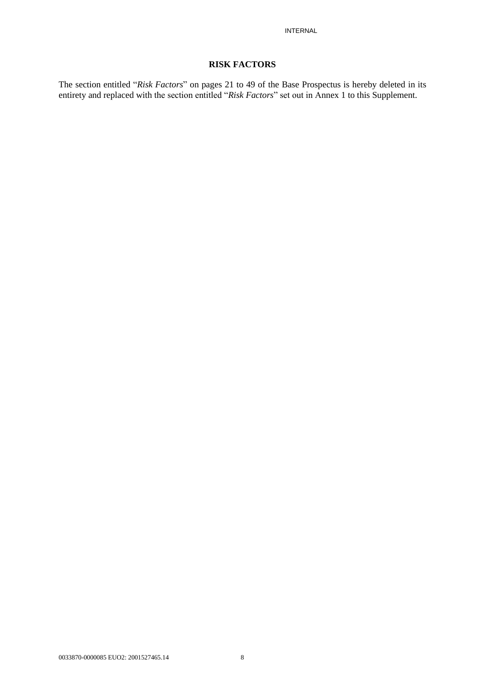#### **RISK FACTORS**

The section entitled "*Risk Factors*" on pages 21 to 49 of the Base Prospectus is hereby deleted in its entirety and replaced with the section entitled "*Risk Factors*" set out in Annex 1 to this Supplement.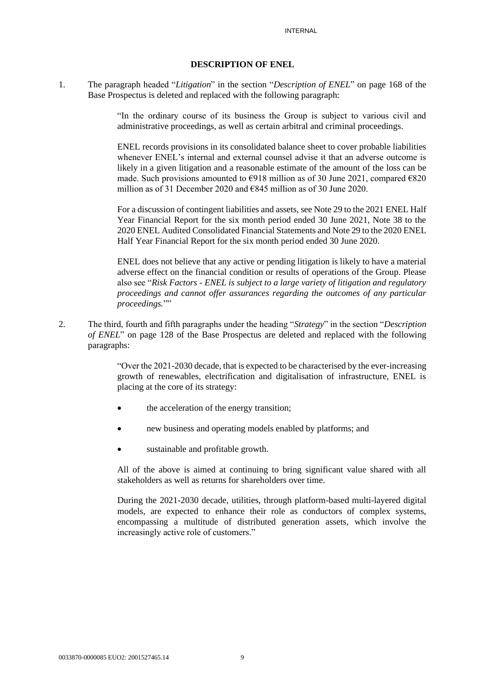#### **DESCRIPTION OF ENEL**

1. The paragraph headed "*Litigation*" in the section "*Description of ENEL*" on page 168 of the Base Prospectus is deleted and replaced with the following paragraph:

> "In the ordinary course of its business the Group is subject to various civil and administrative proceedings, as well as certain arbitral and criminal proceedings.

> ENEL records provisions in its consolidated balance sheet to cover probable liabilities whenever ENEL's internal and external counsel advise it that an adverse outcome is likely in a given litigation and a reasonable estimate of the amount of the loss can be made. Such provisions amounted to  $\epsilon$ 918 million as of 30 June 2021, compared  $\epsilon$ 820 million as of 31 December 2020 and €845 million as of 30 June 2020.

> For a discussion of contingent liabilities and assets, see Note 29 to the 2021 ENEL Half Year Financial Report for the six month period ended 30 June 2021, Note 38 to the 2020 ENEL Audited Consolidated Financial Statements and Note 29 to the 2020 ENEL Half Year Financial Report for the six month period ended 30 June 2020.

> ENEL does not believe that any active or pending litigation is likely to have a material adverse effect on the financial condition or results of operations of the Group. Please also see "*Risk Factors - ENEL is subject to a large variety of litigation and regulatory proceedings and cannot offer assurances regarding the outcomes of any particular proceedings.*""

2. The third, fourth and fifth paragraphs under the heading "*Strategy*" in the section "*Description of ENEL*" on page 128 of the Base Prospectus are deleted and replaced with the following paragraphs:

> "Over the 2021-2030 decade, that is expected to be characterised by the ever-increasing growth of renewables, electrification and digitalisation of infrastructure, ENEL is placing at the core of its strategy:

- the acceleration of the energy transition:
- new business and operating models enabled by platforms; and
- sustainable and profitable growth.

All of the above is aimed at continuing to bring significant value shared with all stakeholders as well as returns for shareholders over time.

During the 2021-2030 decade, utilities, through platform-based multi-layered digital models, are expected to enhance their role as conductors of complex systems, encompassing a multitude of distributed generation assets, which involve the increasingly active role of customers."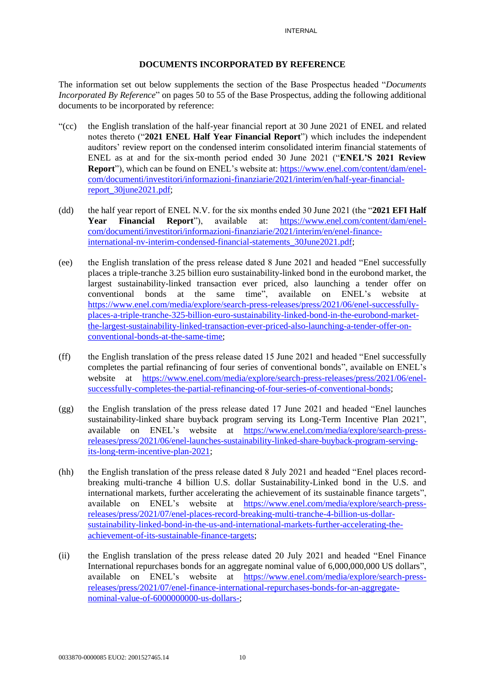#### **DOCUMENTS INCORPORATED BY REFERENCE**

The information set out below supplements the section of the Base Prospectus headed "*Documents Incorporated By Reference*" on pages 50 to 55 of the Base Prospectus, adding the following additional documents to be incorporated by reference:

- "(cc) the English translation of the half-year financial report at 30 June 2021 of ENEL and related notes thereto ("**2021 ENEL Half Year Financial Report**") which includes the independent auditors' review report on the condensed interim consolidated interim financial statements of ENEL as at and for the six-month period ended 30 June 2021 ("**ENEL'S 2021 Review Report**"), which can be found on ENEL's website at: [https://www.enel.com/content/dam/enel](https://www.enel.com/content/dam/enel-com/documenti/investitori/informazioni-finanziarie/2021/interim/en/half-year-financial-report_30june2021.pdf)[com/documenti/investitori/informazioni-finanziarie/2021/interim/en/half-year-financial](https://www.enel.com/content/dam/enel-com/documenti/investitori/informazioni-finanziarie/2021/interim/en/half-year-financial-report_30june2021.pdf)[report\\_30june2021.pdf;](https://www.enel.com/content/dam/enel-com/documenti/investitori/informazioni-finanziarie/2021/interim/en/half-year-financial-report_30june2021.pdf)
- (dd) the half year report of ENEL N.V. for the six months ended 30 June 2021 (the "**2021 EFI Half Year Financial Report**"), available at: [https://www.enel.com/content/dam/enel](https://www.enel.com/content/dam/enel-com/documenti/investitori/informazioni-finanziarie/2021/interim/en/enel-finance-international-nv-interim-condensed-financial-statements_30June2021.pdf)[com/documenti/investitori/informazioni-finanziarie/2021/interim/en/enel-finance](https://www.enel.com/content/dam/enel-com/documenti/investitori/informazioni-finanziarie/2021/interim/en/enel-finance-international-nv-interim-condensed-financial-statements_30June2021.pdf)[international-nv-interim-condensed-financial-statements\\_30June2021.pdf;](https://www.enel.com/content/dam/enel-com/documenti/investitori/informazioni-finanziarie/2021/interim/en/enel-finance-international-nv-interim-condensed-financial-statements_30June2021.pdf)
- (ee) the English translation of the press release dated 8 June 2021 and headed "Enel successfully places a triple-tranche 3.25 billion euro sustainability-linked bond in the eurobond market, the largest sustainability-linked transaction ever priced, also launching a tender offer on conventional bonds at the same time", available on ENEL's website at [https://www.enel.com/media/explore/search-press-releases/press/2021/06/enel-successfully](https://www.enel.com/media/explore/search-press-releases/press/2021/06/enel-successfully-places-a-triple-tranche-325-billion-euro-sustainability-linked-bond-in-the-eurobond-market-the-largest-sustainability-linked-transaction-ever-priced-also-launching-a-tender-offer-on-conventional-bonds-at-the-same-time)[places-a-triple-tranche-325-billion-euro-sustainability-linked-bond-in-the-eurobond-market](https://www.enel.com/media/explore/search-press-releases/press/2021/06/enel-successfully-places-a-triple-tranche-325-billion-euro-sustainability-linked-bond-in-the-eurobond-market-the-largest-sustainability-linked-transaction-ever-priced-also-launching-a-tender-offer-on-conventional-bonds-at-the-same-time)[the-largest-sustainability-linked-transaction-ever-priced-also-launching-a-tender-offer-on](https://www.enel.com/media/explore/search-press-releases/press/2021/06/enel-successfully-places-a-triple-tranche-325-billion-euro-sustainability-linked-bond-in-the-eurobond-market-the-largest-sustainability-linked-transaction-ever-priced-also-launching-a-tender-offer-on-conventional-bonds-at-the-same-time)[conventional-bonds-at-the-same-time;](https://www.enel.com/media/explore/search-press-releases/press/2021/06/enel-successfully-places-a-triple-tranche-325-billion-euro-sustainability-linked-bond-in-the-eurobond-market-the-largest-sustainability-linked-transaction-ever-priced-also-launching-a-tender-offer-on-conventional-bonds-at-the-same-time)
- (ff) the English translation of the press release dated 15 June 2021 and headed "Enel successfully completes the partial refinancing of four series of conventional bonds", available on ENEL's website at [https://www.enel.com/media/explore/search-press-releases/press/2021/06/enel](https://www.enel.com/media/explore/search-press-releases/press/2021/06/enel-successfully-completes-the-partial-refinancing-of-four-series-of-conventional-bonds)[successfully-completes-the-partial-refinancing-of-four-series-of-conventional-bonds;](https://www.enel.com/media/explore/search-press-releases/press/2021/06/enel-successfully-completes-the-partial-refinancing-of-four-series-of-conventional-bonds)
- (gg) the English translation of the press release dated 17 June 2021 and headed "Enel launches sustainability-linked share buyback program serving its Long-Term Incentive Plan 2021", available on ENEL's website at [https://www.enel.com/media/explore/search-press](https://www.enel.com/media/explore/search-press-releases/press/2021/06/enel-launches-sustainability-linked-share-buyback-program-serving-its-long-term-incentive-plan-2021)[releases/press/2021/06/enel-launches-sustainability-linked-share-buyback-program-serving](https://www.enel.com/media/explore/search-press-releases/press/2021/06/enel-launches-sustainability-linked-share-buyback-program-serving-its-long-term-incentive-plan-2021)[its-long-term-incentive-plan-2021;](https://www.enel.com/media/explore/search-press-releases/press/2021/06/enel-launches-sustainability-linked-share-buyback-program-serving-its-long-term-incentive-plan-2021)
- (hh) the English translation of the press release dated 8 July 2021 and headed "Enel places recordbreaking multi-tranche 4 billion U.S. dollar Sustainability-Linked bond in the U.S. and international markets, further accelerating the achievement of its sustainable finance targets", available on ENEL's website at [https://www.enel.com/media/explore/search-press](https://www.enel.com/media/explore/search-press-releases/press/2021/07/enel-places-record-breaking-multi-tranche-4-billion-us-dollar-sustainability-linked-bond-in-the-us-and-international-markets-further-accelerating-the-achievement-of-its-sustainable-finance-targets)[releases/press/2021/07/enel-places-record-breaking-multi-tranche-4-billion-us-dollar](https://www.enel.com/media/explore/search-press-releases/press/2021/07/enel-places-record-breaking-multi-tranche-4-billion-us-dollar-sustainability-linked-bond-in-the-us-and-international-markets-further-accelerating-the-achievement-of-its-sustainable-finance-targets)[sustainability-linked-bond-in-the-us-and-international-markets-further-accelerating-the](https://www.enel.com/media/explore/search-press-releases/press/2021/07/enel-places-record-breaking-multi-tranche-4-billion-us-dollar-sustainability-linked-bond-in-the-us-and-international-markets-further-accelerating-the-achievement-of-its-sustainable-finance-targets)[achievement-of-its-sustainable-finance-targets;](https://www.enel.com/media/explore/search-press-releases/press/2021/07/enel-places-record-breaking-multi-tranche-4-billion-us-dollar-sustainability-linked-bond-in-the-us-and-international-markets-further-accelerating-the-achievement-of-its-sustainable-finance-targets)
- (ii) the English translation of the press release dated 20 July 2021 and headed "Enel Finance International repurchases bonds for an aggregate nominal value of 6,000,000,000 US dollars", available on ENEL's website at [https://www.enel.com/media/explore/search-press](https://www.enel.com/media/explore/search-press-releases/press/2021/07/enel-finance-international-repurchases-bonds-for-an-aggregate-nominal-value-of-6000000000-us-dollars-)[releases/press/2021/07/enel-finance-international-repurchases-bonds-for-an-aggregate](https://www.enel.com/media/explore/search-press-releases/press/2021/07/enel-finance-international-repurchases-bonds-for-an-aggregate-nominal-value-of-6000000000-us-dollars-)[nominal-value-of-6000000000-us-dollars-;](https://www.enel.com/media/explore/search-press-releases/press/2021/07/enel-finance-international-repurchases-bonds-for-an-aggregate-nominal-value-of-6000000000-us-dollars-)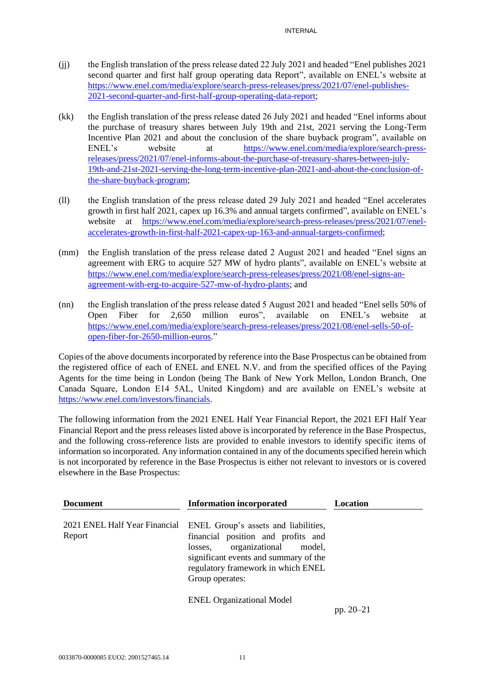- (jj) the English translation of the press release dated 22 July 2021 and headed "Enel publishes 2021 second quarter and first half group operating data Report", available on ENEL's website at [https://www.enel.com/media/explore/search-press-releases/press/2021/07/enel-publishes-](https://www.enel.com/media/explore/search-press-releases/press/2021/07/enel-publishes-2021-second-quarter-and-first-half-group-operating-data-report)[2021-second-quarter-and-first-half-group-operating-data-report;](https://www.enel.com/media/explore/search-press-releases/press/2021/07/enel-publishes-2021-second-quarter-and-first-half-group-operating-data-report)
- (kk) the English translation of the press release dated 26 July 2021 and headed "Enel informs about the purchase of treasury shares between July 19th and 21st, 2021 serving the Long-Term Incentive Plan 2021 and about the conclusion of the share buyback program", available on ENEL's website at [https://www.enel.com/media/explore/search-press](https://www.enel.com/media/explore/search-press-releases/press/2021/07/enel-informs-about-the-purchase-of-treasury-shares-between-july-19th-and-21st-2021-serving-the-long-term-incentive-plan-2021-and-about-the-conclusion-of-the-share-buyback-program)[releases/press/2021/07/enel-informs-about-the-purchase-of-treasury-shares-between-july-](https://www.enel.com/media/explore/search-press-releases/press/2021/07/enel-informs-about-the-purchase-of-treasury-shares-between-july-19th-and-21st-2021-serving-the-long-term-incentive-plan-2021-and-about-the-conclusion-of-the-share-buyback-program)[19th-and-21st-2021-serving-the-long-term-incentive-plan-2021-and-about-the-conclusion-of](https://www.enel.com/media/explore/search-press-releases/press/2021/07/enel-informs-about-the-purchase-of-treasury-shares-between-july-19th-and-21st-2021-serving-the-long-term-incentive-plan-2021-and-about-the-conclusion-of-the-share-buyback-program)[the-share-buyback-program;](https://www.enel.com/media/explore/search-press-releases/press/2021/07/enel-informs-about-the-purchase-of-treasury-shares-between-july-19th-and-21st-2021-serving-the-long-term-incentive-plan-2021-and-about-the-conclusion-of-the-share-buyback-program)
- (ll) the English translation of the press release dated 29 July 2021 and headed "Enel accelerates growth in first half 2021, capex up 16.3% and annual targets confirmed", available on ENEL's website at [https://www.enel.com/media/explore/search-press-releases/press/2021/07/enel](https://www.enel.com/media/explore/search-press-releases/press/2021/07/enel-accelerates-growth-in-first-half-2021-capex-up-163-and-annual-targets-confirmed)[accelerates-growth-in-first-half-2021-capex-up-163-and-annual-targets-confirmed;](https://www.enel.com/media/explore/search-press-releases/press/2021/07/enel-accelerates-growth-in-first-half-2021-capex-up-163-and-annual-targets-confirmed)
- (mm) the English translation of the press release dated 2 August 2021 and headed "Enel signs an agreement with ERG to acquire 527 MW of hydro plants", available on ENEL's website at [https://www.enel.com/media/explore/search-press-releases/press/2021/08/enel-signs-an](https://www.enel.com/media/explore/search-press-releases/press/2021/08/enel-signs-an-agreement-with-erg-to-acquire-527-mw-of-hydro-plants)[agreement-with-erg-to-acquire-527-mw-of-hydro-plants;](https://www.enel.com/media/explore/search-press-releases/press/2021/08/enel-signs-an-agreement-with-erg-to-acquire-527-mw-of-hydro-plants) and
- (nn) the English translation of the press release dated 5 August 2021 and headed "Enel sells 50% of Open Fiber for 2,650 million euros", available on ENEL's website at [https://www.enel.com/media/explore/search-press-releases/press/2021/08/enel-sells-50-of](https://www.enel.com/media/explore/search-press-releases/press/2021/08/enel-sells-50-of-open-fiber-for-2650-million-euros)[open-fiber-for-2650-million-euros.](https://www.enel.com/media/explore/search-press-releases/press/2021/08/enel-sells-50-of-open-fiber-for-2650-million-euros)"

Copies of the above documentsincorporated by reference into the Base Prospectus can be obtained from the registered office of each of ENEL and ENEL N.V. and from the specified offices of the Paying Agents for the time being in London (being The Bank of New York Mellon, London Branch, One Canada Square, London E14 5AL, United Kingdom) and are available on ENEL's website at [https://www.enel.com/investors/financials.](https://www.enel.com/investors/financials)

The following information from the 2021 ENEL Half Year Financial Report, the 2021 EFI Half Year Financial Report and the press releases listed above is incorporated by reference in the Base Prospectus, and the following cross-reference lists are provided to enable investors to identify specific items of information so incorporated. Any information contained in any of the documents specified herein which is not incorporated by reference in the Base Prospectus is either not relevant to investors or is covered elsewhere in the Base Prospectus:

| <b>Document</b>                         | <b>Information incorporated</b>                                                                                                                                                                                     | Location      |
|-----------------------------------------|---------------------------------------------------------------------------------------------------------------------------------------------------------------------------------------------------------------------|---------------|
| 2021 ENEL Half Year Financial<br>Report | ENEL Group's assets and liabilities,<br>financial position and profits and<br>organizational<br>model,<br>losses,<br>significant events and summary of the<br>regulatory framework in which ENEL<br>Group operates: |               |
|                                         | <b>ENEL Organizational Model</b>                                                                                                                                                                                    | pp. $20 - 21$ |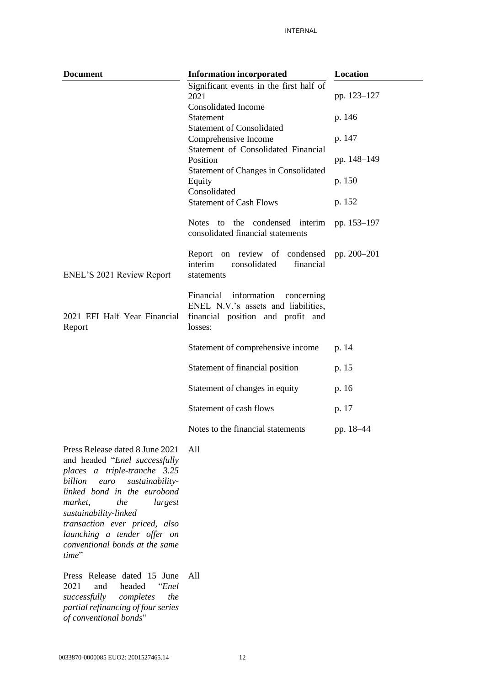| <b>Document</b>                                                                                  | <b>Information incorporated</b>                                                                                               | Location    |
|--------------------------------------------------------------------------------------------------|-------------------------------------------------------------------------------------------------------------------------------|-------------|
|                                                                                                  | Significant events in the first half of<br>2021                                                                               | pp. 123-127 |
|                                                                                                  | <b>Consolidated Income</b><br>Statement<br><b>Statement of Consolidated</b>                                                   | p. 146      |
|                                                                                                  | Comprehensive Income<br>Statement of Consolidated Financial                                                                   | p. 147      |
|                                                                                                  | Position                                                                                                                      | pp. 148-149 |
|                                                                                                  | <b>Statement of Changes in Consolidated</b><br>Equity<br>Consolidated                                                         | p. 150      |
|                                                                                                  | <b>Statement of Cash Flows</b>                                                                                                | p. 152      |
|                                                                                                  | <b>Notes</b><br>the<br>condensed interim<br>to<br>consolidated financial statements                                           | pp. 153-197 |
| ENEL'S 2021 Review Report                                                                        | Report on review of condensed<br>interim<br>consolidated<br>financial<br>statements                                           | pp. 200-201 |
| 2021 EFI Half Year Financial<br>Report                                                           | information<br>Financial<br>concerning<br>ENEL N.V.'s assets and liabilities,<br>financial position and profit and<br>losses: |             |
|                                                                                                  | Statement of comprehensive income                                                                                             | p. 14       |
|                                                                                                  | Statement of financial position                                                                                               | p. 15       |
|                                                                                                  | Statement of changes in equity                                                                                                | p. 16       |
|                                                                                                  | Statement of cash flows                                                                                                       | p. 17       |
|                                                                                                  | Notes to the financial statements                                                                                             | pp. 18-44   |
| Press Release dated 8 June 2021<br>and headed "Enel successfully<br>places a triple-tranche 3.25 | All                                                                                                                           |             |

*billion euro sustainabilitylinked bond in the eurobond market, the largest sustainability-linked transaction ever priced, also launching a tender offer on conventional bonds at the same time*"

Press Release dated 15 June All2021 and headed "*Enel successfully completes the partial refinancing of four series of conventional bonds*"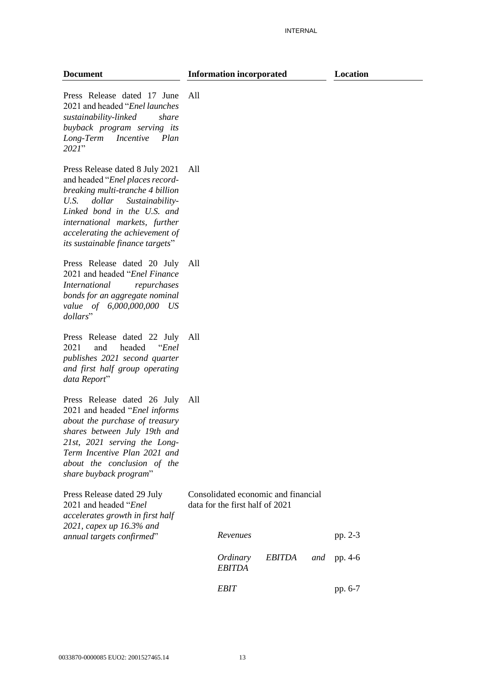#### **Information incorporated Location**

Press Release dated 17 June 2021 and headed "*Enel launches sustainability-linked share buyback program serving its Long-Term Incentive Plan 2021*" All

Press Release dated 8 July 2021 and headed "*Enel places recordbreaking multi-tranche 4 billion U.S. dollar Sustainability-Linked bond in the U.S. and international markets, further accelerating the achievement of its sustainable finance targets*" All

Press Release dated 20 July 2021 and headed "*Enel Finance International repurchases bonds for an aggregate nominal value of 6,000,000,000 US dollars*" All

Press Release dated 22 July All 2021 and headed "*Enel publishes 2021 second quarter and first half group operating data Report*"

Press Release dated 26 July 2021 and headed "*Enel informs about the purchase of treasury shares between July 19th and 21st, 2021 serving the Long-Term Incentive Plan 2021 and about the conclusion of the share buyback program*" All

Press Release dated 29 July 2021 and headed "*Enel accelerates growth in first half 2021, capex up 16.3% and annual targets confirmed*" Consolidated economic and financial data for the first half of 2021 *Revenues* pp. 2-3 *Ordinary EBITDA EBITDA* and  $pp. 4-6$ 

*EBIT* pp. 6-7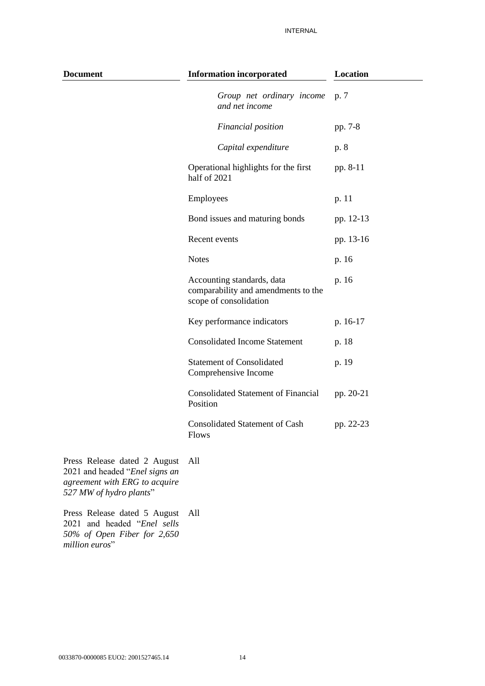| <b>Document</b> | <b>Information incorporated</b>                                                             |           |
|-----------------|---------------------------------------------------------------------------------------------|-----------|
|                 | Group net ordinary income<br>and net income                                                 | p. 7      |
|                 | Financial position                                                                          | pp. 7-8   |
|                 | Capital expenditure                                                                         | p. 8      |
|                 | Operational highlights for the first<br>half of 2021                                        | pp. 8-11  |
|                 | Employees                                                                                   | p. 11     |
|                 | Bond issues and maturing bonds                                                              | pp. 12-13 |
|                 | Recent events                                                                               | pp. 13-16 |
|                 | <b>Notes</b>                                                                                | p. 16     |
|                 | Accounting standards, data<br>comparability and amendments to the<br>scope of consolidation | p. 16     |
|                 | Key performance indicators                                                                  | p. 16-17  |
|                 | <b>Consolidated Income Statement</b>                                                        | p. 18     |
|                 | <b>Statement of Consolidated</b><br>Comprehensive Income                                    | p. 19     |
|                 | <b>Consolidated Statement of Financial</b><br>Position                                      | pp. 20-21 |
|                 | <b>Consolidated Statement of Cash</b><br>Flows                                              | pp. 22-23 |
|                 |                                                                                             |           |

- Press Release dated 2 August All 2021 and headed "*Enel signs an agreement with ERG to acquire 527 MW of hydro plants*"
- Press Release dated 5 August All2021 and headed "*Enel sells 50% of Open Fiber for 2,650 million euros*"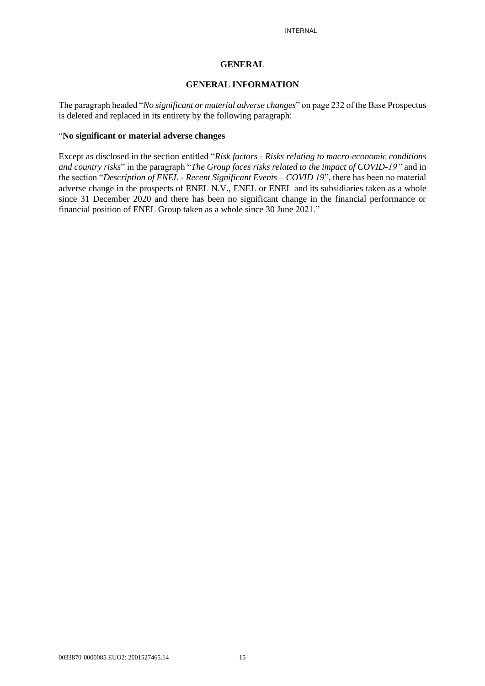#### **GENERAL**

#### **GENERAL INFORMATION**

The paragraph headed "*No significant or material adverse changes*" on page 232 of the Base Prospectus is deleted and replaced in its entirety by the following paragraph:

#### "**No significant or material adverse changes**

Except as disclosed in the section entitled "*Risk factors - Risks relating to macro-economic conditions and country risks*" in the paragraph "*The Group faces risks related to the impact of COVID-19"* and in the section "*Description of ENEL - Recent Significant Events – COVID 19*", there has been no material adverse change in the prospects of ENEL N.V., ENEL or ENEL and its subsidiaries taken as a whole since 31 December 2020 and there has been no significant change in the financial performance or financial position of ENEL Group taken as a whole since 30 June 2021."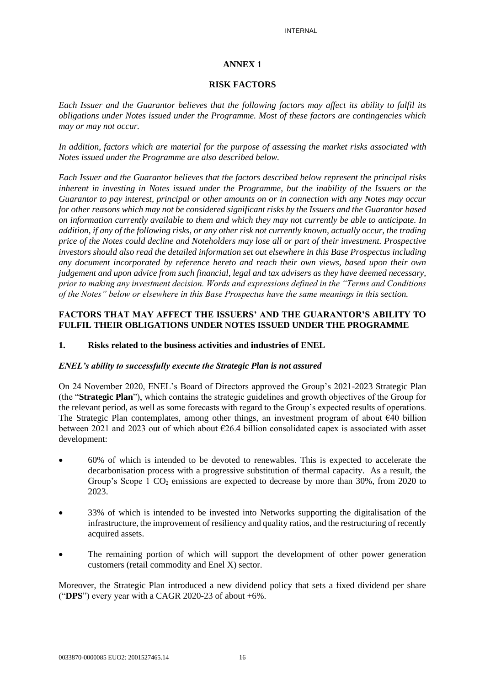#### **ANNEX 1**

#### **RISK FACTORS**

*Each Issuer and the Guarantor believes that the following factors may affect its ability to fulfil its obligations under Notes issued under the Programme. Most of these factors are contingencies which may or may not occur.*

*In addition, factors which are material for the purpose of assessing the market risks associated with Notes issued under the Programme are also described below.*

*Each Issuer and the Guarantor believes that the factors described below represent the principal risks inherent in investing in Notes issued under the Programme, but the inability of the Issuers or the Guarantor to pay interest, principal or other amounts on or in connection with any Notes may occur for other reasons which may not be considered significant risks by the Issuers and the Guarantor based on information currently available to them and which they may not currently be able to anticipate. In addition, if any of the following risks, or any other risk not currently known, actually occur, the trading price of the Notes could decline and Noteholders may lose all or part of their investment. Prospective investors should also read the detailed information set out elsewhere in this Base Prospectus including any document incorporated by reference hereto and reach their own views, based upon their own judgement and upon advice from such financial, legal and tax advisers as they have deemed necessary, prior to making any investment decision. Words and expressions defined in the "Terms and Conditions of the Notes" below or elsewhere in this Base Prospectus have the same meanings in this section.*

### **FACTORS THAT MAY AFFECT THE ISSUERS' AND THE GUARANTOR'S ABILITY TO FULFIL THEIR OBLIGATIONS UNDER NOTES ISSUED UNDER THE PROGRAMME**

#### **1. Risks related to the business activities and industries of ENEL**

#### *ENEL's ability to successfully execute the Strategic Plan is not assured*

On 24 November 2020, ENEL's Board of Directors approved the Group's 2021-2023 Strategic Plan (the "**Strategic Plan**"), which contains the strategic guidelines and growth objectives of the Group for the relevant period, as well as some forecasts with regard to the Group's expected results of operations. The Strategic Plan contemplates, among other things, an investment program of about €40 billion between 2021 and 2023 out of which about €26.4 billion consolidated capex is associated with asset development:

- 60% of which is intended to be devoted to renewables. This is expected to accelerate the decarbonisation process with a progressive substitution of thermal capacity. As a result, the Group's Scope 1  $CO<sub>2</sub>$  emissions are expected to decrease by more than 30%, from 2020 to 2023.
- 33% of which is intended to be invested into Networks supporting the digitalisation of the infrastructure, the improvement of resiliency and quality ratios, and the restructuring of recently acquired assets.
- The remaining portion of which will support the development of other power generation customers (retail commodity and Enel X) sector.

Moreover, the Strategic Plan introduced a new dividend policy that sets a fixed dividend per share ("**DPS**") every year with a CAGR 2020-23 of about +6%.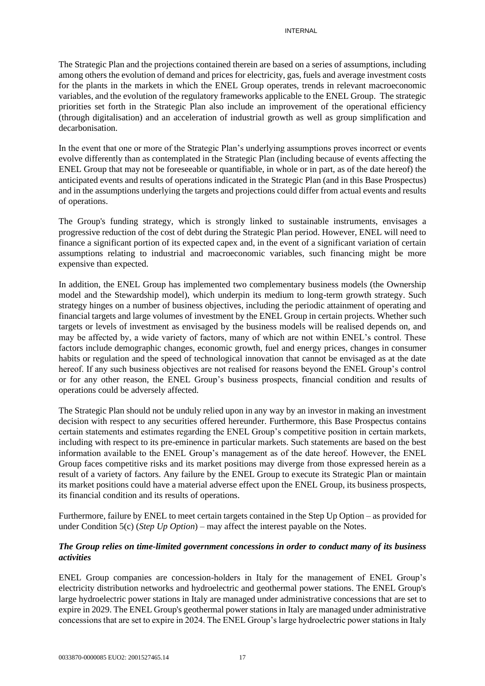The Strategic Plan and the projections contained therein are based on a series of assumptions, including among others the evolution of demand and prices for electricity, gas, fuels and average investment costs for the plants in the markets in which the ENEL Group operates, trends in relevant macroeconomic variables, and the evolution of the regulatory frameworks applicable to the ENEL Group. The strategic priorities set forth in the Strategic Plan also include an improvement of the operational efficiency (through digitalisation) and an acceleration of industrial growth as well as group simplification and decarbonisation.

In the event that one or more of the Strategic Plan's underlying assumptions proves incorrect or events evolve differently than as contemplated in the Strategic Plan (including because of events affecting the ENEL Group that may not be foreseeable or quantifiable, in whole or in part, as of the date hereof) the anticipated events and results of operations indicated in the Strategic Plan (and in this Base Prospectus) and in the assumptions underlying the targets and projections could differ from actual events and results of operations.

The Group's funding strategy, which is strongly linked to sustainable instruments, envisages a progressive reduction of the cost of debt during the Strategic Plan period. However, ENEL will need to finance a significant portion of its expected capex and, in the event of a significant variation of certain assumptions relating to industrial and macroeconomic variables, such financing might be more expensive than expected.

In addition, the ENEL Group has implemented two complementary business models (the Ownership model and the Stewardship model), which underpin its medium to long-term growth strategy. Such strategy hinges on a number of business objectives, including the periodic attainment of operating and financial targets and large volumes of investment by the ENEL Group in certain projects. Whether such targets or levels of investment as envisaged by the business models will be realised depends on, and may be affected by, a wide variety of factors, many of which are not within ENEL's control. These factors include demographic changes, economic growth, fuel and energy prices, changes in consumer habits or regulation and the speed of technological innovation that cannot be envisaged as at the date hereof. If any such business objectives are not realised for reasons beyond the ENEL Group's control or for any other reason, the ENEL Group's business prospects, financial condition and results of operations could be adversely affected.

The Strategic Plan should not be unduly relied upon in any way by an investor in making an investment decision with respect to any securities offered hereunder. Furthermore, this Base Prospectus contains certain statements and estimates regarding the ENEL Group's competitive position in certain markets, including with respect to its pre-eminence in particular markets. Such statements are based on the best information available to the ENEL Group's management as of the date hereof. However, the ENEL Group faces competitive risks and its market positions may diverge from those expressed herein as a result of a variety of factors. Any failure by the ENEL Group to execute its Strategic Plan or maintain its market positions could have a material adverse effect upon the ENEL Group, its business prospects, its financial condition and its results of operations.

Furthermore, failure by ENEL to meet certain targets contained in the Step Up Option – as provided for under Condition 5(c) (*Step Up Option*) – may affect the interest payable on the Notes.

## *The Group relies on time-limited government concessions in order to conduct many of its business activities*

ENEL Group companies are concession-holders in Italy for the management of ENEL Group's electricity distribution networks and hydroelectric and geothermal power stations. The ENEL Group's large hydroelectric power stations in Italy are managed under administrative concessions that are set to expire in 2029. The ENEL Group's geothermal power stations in Italy are managed under administrative concessions that are set to expire in 2024. The ENEL Group's large hydroelectric power stations in Italy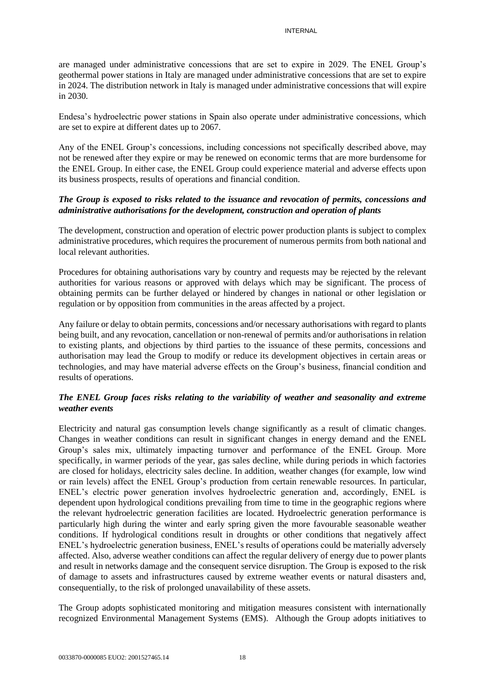are managed under administrative concessions that are set to expire in 2029. The ENEL Group's geothermal power stations in Italy are managed under administrative concessions that are set to expire in 2024. The distribution network in Italy is managed under administrative concessions that will expire in 2030.

Endesa's hydroelectric power stations in Spain also operate under administrative concessions, which are set to expire at different dates up to 2067.

Any of the ENEL Group's concessions, including concessions not specifically described above, may not be renewed after they expire or may be renewed on economic terms that are more burdensome for the ENEL Group. In either case, the ENEL Group could experience material and adverse effects upon its business prospects, results of operations and financial condition.

### *The Group is exposed to risks related to the issuance and revocation of permits, concessions and administrative authorisations for the development, construction and operation of plants*

The development, construction and operation of electric power production plants is subject to complex administrative procedures, which requires the procurement of numerous permits from both national and local relevant authorities.

Procedures for obtaining authorisations vary by country and requests may be rejected by the relevant authorities for various reasons or approved with delays which may be significant. The process of obtaining permits can be further delayed or hindered by changes in national or other legislation or regulation or by opposition from communities in the areas affected by a project.

Any failure or delay to obtain permits, concessions and/or necessary authorisations with regard to plants being built, and any revocation, cancellation or non-renewal of permits and/or authorisations in relation to existing plants, and objections by third parties to the issuance of these permits, concessions and authorisation may lead the Group to modify or reduce its development objectives in certain areas or technologies, and may have material adverse effects on the Group's business, financial condition and results of operations.

## *The ENEL Group faces risks relating to the variability of weather and seasonality and extreme weather events*

Electricity and natural gas consumption levels change significantly as a result of climatic changes. Changes in weather conditions can result in significant changes in energy demand and the ENEL Group's sales mix, ultimately impacting turnover and performance of the ENEL Group. More specifically, in warmer periods of the year, gas sales decline, while during periods in which factories are closed for holidays, electricity sales decline. In addition, weather changes (for example, low wind or rain levels) affect the ENEL Group's production from certain renewable resources. In particular, ENEL's electric power generation involves hydroelectric generation and, accordingly, ENEL is dependent upon hydrological conditions prevailing from time to time in the geographic regions where the relevant hydroelectric generation facilities are located. Hydroelectric generation performance is particularly high during the winter and early spring given the more favourable seasonable weather conditions. If hydrological conditions result in droughts or other conditions that negatively affect ENEL's hydroelectric generation business, ENEL's results of operations could be materially adversely affected. Also, adverse weather conditions can affect the regular delivery of energy due to power plants and result in networks damage and the consequent service disruption. The Group is exposed to the risk of damage to assets and infrastructures caused by extreme weather events or natural disasters and, consequentially, to the risk of prolonged unavailability of these assets.

The Group adopts sophisticated monitoring and mitigation measures consistent with internationally recognized Environmental Management Systems (EMS). Although the Group adopts initiatives to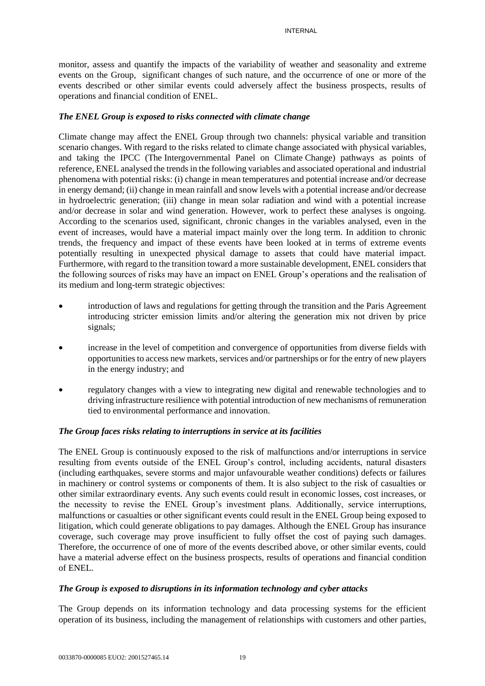monitor, assess and quantify the impacts of the variability of weather and seasonality and extreme events on the Group, significant changes of such nature, and the occurrence of one or more of the events described or other similar events could adversely affect the business prospects, results of operations and financial condition of ENEL.

## *The ENEL Group is exposed to risks connected with climate change*

Climate change may affect the ENEL Group through two channels: physical variable and transition scenario changes. With regard to the risks related to climate change associated with physical variables, and taking the IPCC (The Intergovernmental Panel on Climate Change) pathways as points of reference, ENEL analysed the trends in the following variables and associated operational and industrial phenomena with potential risks: (i) change in mean temperatures and potential increase and/or decrease in energy demand; (ii) change in mean rainfall and snow levels with a potential increase and/or decrease in hydroelectric generation; (iii) change in mean solar radiation and wind with a potential increase and/or decrease in solar and wind generation. However, work to perfect these analyses is ongoing. According to the scenarios used, significant, chronic changes in the variables analysed, even in the event of increases, would have a material impact mainly over the long term. In addition to chronic trends, the frequency and impact of these events have been looked at in terms of extreme events potentially resulting in unexpected physical damage to assets that could have material impact. Furthermore, with regard to the transition toward a more sustainable development, ENEL considers that the following sources of risks may have an impact on ENEL Group's operations and the realisation of its medium and long-term strategic objectives:

- introduction of laws and regulations for getting through the transition and the Paris Agreement introducing stricter emission limits and/or altering the generation mix not driven by price signals;
- increase in the level of competition and convergence of opportunities from diverse fields with opportunities to access new markets, services and/or partnerships or for the entry of new players in the energy industry; and
- regulatory changes with a view to integrating new digital and renewable technologies and to driving infrastructure resilience with potential introduction of new mechanisms of remuneration tied to environmental performance and innovation.

#### *The Group faces risks relating to interruptions in service at its facilities*

The ENEL Group is continuously exposed to the risk of malfunctions and/or interruptions in service resulting from events outside of the ENEL Group's control, including accidents, natural disasters (including earthquakes, severe storms and major unfavourable weather conditions) defects or failures in machinery or control systems or components of them. It is also subject to the risk of casualties or other similar extraordinary events. Any such events could result in economic losses, cost increases, or the necessity to revise the ENEL Group's investment plans. Additionally, service interruptions, malfunctions or casualties or other significant events could result in the ENEL Group being exposed to litigation, which could generate obligations to pay damages. Although the ENEL Group has insurance coverage, such coverage may prove insufficient to fully offset the cost of paying such damages. Therefore, the occurrence of one of more of the events described above, or other similar events, could have a material adverse effect on the business prospects, results of operations and financial condition of ENEL.

#### *The Group is exposed to disruptions in its information technology and cyber attacks*

The Group depends on its information technology and data processing systems for the efficient operation of its business, including the management of relationships with customers and other parties,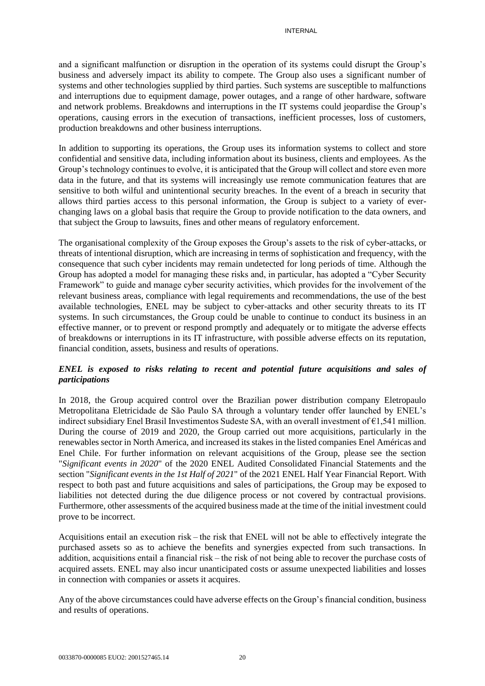and a significant malfunction or disruption in the operation of its systems could disrupt the Group's business and adversely impact its ability to compete. The Group also uses a significant number of systems and other technologies supplied by third parties. Such systems are susceptible to malfunctions and interruptions due to equipment damage, power outages, and a range of other hardware, software and network problems. Breakdowns and interruptions in the IT systems could jeopardise the Group's operations, causing errors in the execution of transactions, inefficient processes, loss of customers, production breakdowns and other business interruptions.

In addition to supporting its operations, the Group uses its information systems to collect and store confidential and sensitive data, including information about its business, clients and employees. As the Group's technology continues to evolve, it is anticipated that the Group will collect and store even more data in the future, and that its systems will increasingly use remote communication features that are sensitive to both wilful and unintentional security breaches. In the event of a breach in security that allows third parties access to this personal information, the Group is subject to a variety of everchanging laws on a global basis that require the Group to provide notification to the data owners, and that subject the Group to lawsuits, fines and other means of regulatory enforcement.

The organisational complexity of the Group exposes the Group's assets to the risk of cyber-attacks, or threats of intentional disruption, which are increasing in terms of sophistication and frequency, with the consequence that such cyber incidents may remain undetected for long periods of time. Although the Group has adopted a model for managing these risks and, in particular, has adopted a "Cyber Security Framework" to guide and manage cyber security activities, which provides for the involvement of the relevant business areas, compliance with legal requirements and recommendations, the use of the best available technologies, ENEL may be subject to cyber-attacks and other security threats to its IT systems. In such circumstances, the Group could be unable to continue to conduct its business in an effective manner, or to prevent or respond promptly and adequately or to mitigate the adverse effects of breakdowns or interruptions in its IT infrastructure, with possible adverse effects on its reputation, financial condition, assets, business and results of operations.

## *ENEL is exposed to risks relating to recent and potential future acquisitions and sales of participations*

In 2018, the Group acquired control over the Brazilian power distribution company Eletropaulo Metropolitana Eletricidade de São Paulo SA through a voluntary tender offer launched by ENEL's indirect subsidiary Enel Brasil Investimentos Sudeste SA, with an overall investment of €1,541 million. During the course of 2019 and 2020, the Group carried out more acquisitions, particularly in the renewables sector in North America, and increased its stakes in the listed companies Enel Américas and Enel Chile. For further information on relevant acquisitions of the Group, please see the section "*Significant events in 2020*" of the 2020 ENEL Audited Consolidated Financial Statements and the section "*Significant events in the 1st Half of 2021*" of the 2021 ENEL Half Year Financial Report. With respect to both past and future acquisitions and sales of participations, the Group may be exposed to liabilities not detected during the due diligence process or not covered by contractual provisions. Furthermore, other assessments of the acquired business made at the time of the initial investment could prove to be incorrect.

Acquisitions entail an execution risk – the risk that ENEL will not be able to effectively integrate the purchased assets so as to achieve the benefits and synergies expected from such transactions. In addition, acquisitions entail a financial risk – the risk of not being able to recover the purchase costs of acquired assets. ENEL may also incur unanticipated costs or assume unexpected liabilities and losses in connection with companies or assets it acquires.

Any of the above circumstances could have adverse effects on the Group's financial condition, business and results of operations.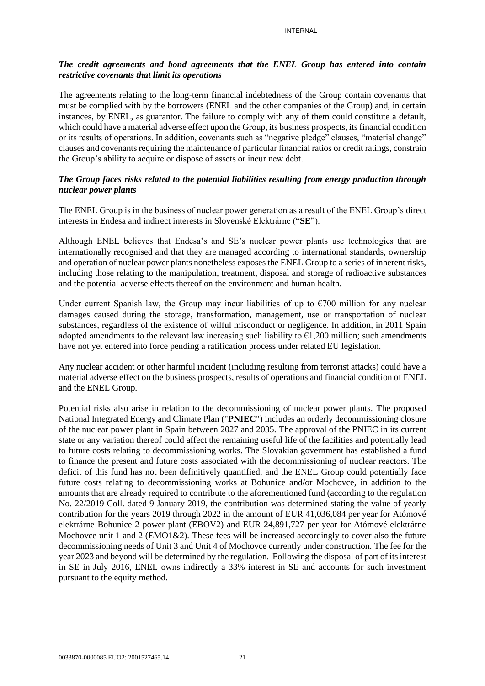## *The credit agreements and bond agreements that the ENEL Group has entered into contain restrictive covenants that limit its operations*

The agreements relating to the long-term financial indebtedness of the Group contain covenants that must be complied with by the borrowers (ENEL and the other companies of the Group) and, in certain instances, by ENEL, as guarantor. The failure to comply with any of them could constitute a default, which could have a material adverse effect upon the Group, its business prospects, its financial condition or its results of operations. In addition, covenants such as "negative pledge" clauses, "material change" clauses and covenants requiring the maintenance of particular financial ratios or credit ratings, constrain the Group's ability to acquire or dispose of assets or incur new debt.

## *The Group faces risks related to the potential liabilities resulting from energy production through nuclear power plants*

The ENEL Group is in the business of nuclear power generation as a result of the ENEL Group's direct interests in Endesa and indirect interests in Slovenské Elektrárne ("**SE**").

Although ENEL believes that Endesa's and SE's nuclear power plants use technologies that are internationally recognised and that they are managed according to international standards, ownership and operation of nuclear power plants nonetheless exposes the ENEL Group to a series of inherent risks, including those relating to the manipulation, treatment, disposal and storage of radioactive substances and the potential adverse effects thereof on the environment and human health.

Under current Spanish law, the Group may incur liabilities of up to  $\epsilon$ 700 million for any nuclear damages caused during the storage, transformation, management, use or transportation of nuclear substances, regardless of the existence of wilful misconduct or negligence. In addition, in 2011 Spain adopted amendments to the relevant law increasing such liability to  $\epsilon$ 1,200 million; such amendments have not yet entered into force pending a ratification process under related EU legislation.

Any nuclear accident or other harmful incident (including resulting from terrorist attacks) could have a material adverse effect on the business prospects, results of operations and financial condition of ENEL and the ENEL Group.

Potential risks also arise in relation to the decommissioning of nuclear power plants. The proposed National Integrated Energy and Climate Plan ("**PNIEC**") includes an orderly decommissioning closure of the nuclear power plant in Spain between 2027 and 2035. The approval of the PNIEC in its current state or any variation thereof could affect the remaining useful life of the facilities and potentially lead to future costs relating to decommissioning works. The Slovakian government has established a fund to finance the present and future costs associated with the decommissioning of nuclear reactors. The deficit of this fund has not been definitively quantified, and the ENEL Group could potentially face future costs relating to decommissioning works at Bohunice and/or Mochovce, in addition to the amounts that are already required to contribute to the aforementioned fund (according to the regulation No. 22/2019 Coll. dated 9 January 2019, the contribution was determined stating the value of yearly contribution for the years 2019 through 2022 in the amount of EUR 41,036,084 per year for Atómové elektrárne Bohunice 2 power plant (EBOV2) and EUR 24,891,727 per year for Atómové elektrárne Mochovce unit 1 and 2 ( $EMO1&2$ ). These fees will be increased accordingly to cover also the future decommissioning needs of Unit 3 and Unit 4 of Mochovce currently under construction*.* The fee for the year 2023 and beyond will be determined by the regulation. Following the disposal of part of its interest in SE in July 2016, ENEL owns indirectly a 33% interest in SE and accounts for such investment pursuant to the equity method.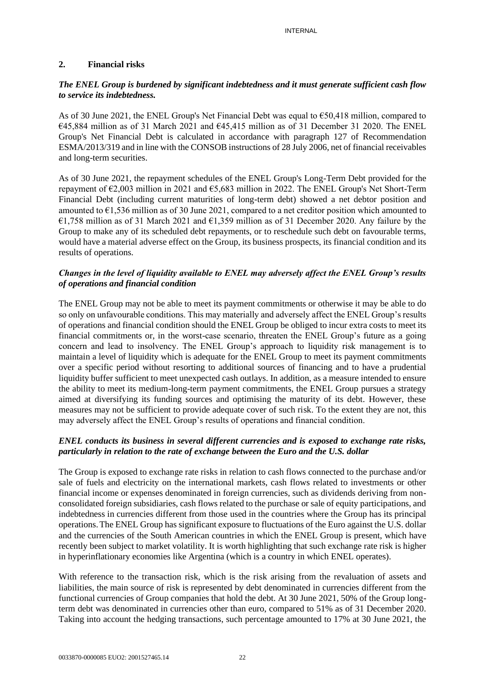### **2. Financial risks**

## *The ENEL Group is burdened by significant indebtedness and it must generate sufficient cash flow to service its indebtedness.*

As of 30 June 2021, the ENEL Group's Net Financial Debt was equal to €50,418 million, compared to  $645.884$  million as of 31 March 2021 and  $645.415$  million as of 31 December 31 2020. The ENEL Group's Net Financial Debt is calculated in accordance with paragraph 127 of Recommendation ESMA/2013/319 and in line with the CONSOB instructions of 28 July 2006, net of financial receivables and long-term securities.

As of 30 June 2021, the repayment schedules of the ENEL Group's Long-Term Debt provided for the repayment of €2,003 million in 2021 and €5,683 million in 2022. The ENEL Group's Net Short-Term Financial Debt (including current maturities of long-term debt) showed a net debtor position and amounted to  $\epsilon$ 1,536 million as of 30 June 2021, compared to a net creditor position which amounted to €1,758 million as of 31 March 2021 and €1,359 million as of 31 December 2020. Any failure by the Group to make any of its scheduled debt repayments, or to reschedule such debt on favourable terms, would have a material adverse effect on the Group, its business prospects, its financial condition and its results of operations.

# *Changes in the level of liquidity available to ENEL may adversely affect the ENEL Group's results of operations and financial condition*

The ENEL Group may not be able to meet its payment commitments or otherwise it may be able to do so only on unfavourable conditions. This may materially and adversely affect the ENEL Group's results of operations and financial condition should the ENEL Group be obliged to incur extra costs to meet its financial commitments or, in the worst-case scenario, threaten the ENEL Group's future as a going concern and lead to insolvency. The ENEL Group's approach to liquidity risk management is to maintain a level of liquidity which is adequate for the ENEL Group to meet its payment commitments over a specific period without resorting to additional sources of financing and to have a prudential liquidity buffer sufficient to meet unexpected cash outlays. In addition, as a measure intended to ensure the ability to meet its medium-long-term payment commitments, the ENEL Group pursues a strategy aimed at diversifying its funding sources and optimising the maturity of its debt. However, these measures may not be sufficient to provide adequate cover of such risk. To the extent they are not, this may adversely affect the ENEL Group's results of operations and financial condition.

# *ENEL conducts its business in several different currencies and is exposed to exchange rate risks, particularly in relation to the rate of exchange between the Euro and the U.S. dollar*

The Group is exposed to exchange rate risks in relation to cash flows connected to the purchase and/or sale of fuels and electricity on the international markets, cash flows related to investments or other financial income or expenses denominated in foreign currencies, such as dividends deriving from nonconsolidated foreign subsidiaries, cash flows related to the purchase or sale of equity participations, and indebtedness in currencies different from those used in the countries where the Group has its principal operations.The ENEL Group has significant exposure to fluctuations of the Euro against the U.S. dollar and the currencies of the South American countries in which the ENEL Group is present, which have recently been subject to market volatility. It is worth highlighting that such exchange rate risk is higher in hyperinflationary economies like Argentina (which is a country in which ENEL operates).

With reference to the transaction risk, which is the risk arising from the revaluation of assets and liabilities, the main source of risk is represented by debt denominated in currencies different from the functional currencies of Group companies that hold the debt. At 30 June 2021, 50% of the Group longterm debt was denominated in currencies other than euro, compared to 51% as of 31 December 2020. Taking into account the hedging transactions, such percentage amounted to 17% at 30 June 2021, the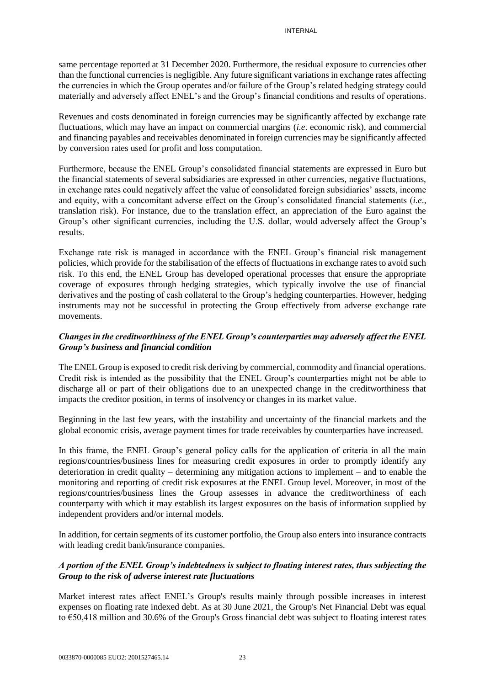same percentage reported at 31 December 2020. Furthermore, the residual exposure to currencies other than the functional currencies is negligible. Any future significant variations in exchange rates affecting the currencies in which the Group operates and/or failure of the Group's related hedging strategy could materially and adversely affect ENEL's and the Group's financial conditions and results of operations.

Revenues and costs denominated in foreign currencies may be significantly affected by exchange rate fluctuations, which may have an impact on commercial margins (*i.e*. economic risk), and commercial and financing payables and receivables denominated in foreign currencies may be significantly affected by conversion rates used for profit and loss computation.

Furthermore, because the ENEL Group's consolidated financial statements are expressed in Euro but the financial statements of several subsidiaries are expressed in other currencies, negative fluctuations, in exchange rates could negatively affect the value of consolidated foreign subsidiaries' assets, income and equity, with a concomitant adverse effect on the Group's consolidated financial statements (*i.e*., translation risk). For instance, due to the translation effect, an appreciation of the Euro against the Group's other significant currencies, including the U.S. dollar, would adversely affect the Group's results.

Exchange rate risk is managed in accordance with the ENEL Group's financial risk management policies, which provide for the stabilisation of the effects of fluctuations in exchange rates to avoid such risk. To this end, the ENEL Group has developed operational processes that ensure the appropriate coverage of exposures through hedging strategies, which typically involve the use of financial derivatives and the posting of cash collateral to the Group's hedging counterparties. However, hedging instruments may not be successful in protecting the Group effectively from adverse exchange rate movements.

# *Changes in the creditworthiness of the ENEL Group's counterparties may adversely affect the ENEL Group's business and financial condition*

The ENEL Group is exposed to credit risk deriving by commercial, commodity and financial operations. Credit risk is intended as the possibility that the ENEL Group's counterparties might not be able to discharge all or part of their obligations due to an unexpected change in the creditworthiness that impacts the creditor position, in terms of insolvency or changes in its market value.

Beginning in the last few years, with the instability and uncertainty of the financial markets and the global economic crisis, average payment times for trade receivables by counterparties have increased.

In this frame, the ENEL Group's general policy calls for the application of criteria in all the main regions/countries/business lines for measuring credit exposures in order to promptly identify any deterioration in credit quality – determining any mitigation actions to implement – and to enable the monitoring and reporting of credit risk exposures at the ENEL Group level. Moreover, in most of the regions/countries/business lines the Group assesses in advance the creditworthiness of each counterparty with which it may establish its largest exposures on the basis of information supplied by independent providers and/or internal models.

In addition, for certain segments of its customer portfolio, the Group also enters into insurance contracts with leading credit bank/insurance companies.

## *A portion of the ENEL Group's indebtedness is subject to floating interest rates, thus subjecting the Group to the risk of adverse interest rate fluctuations*

Market interest rates affect ENEL's Group's results mainly through possible increases in interest expenses on floating rate indexed debt. As at 30 June 2021, the Group's Net Financial Debt was equal to €50,418 million and 30.6% of the Group's Gross financial debt was subject to floating interest rates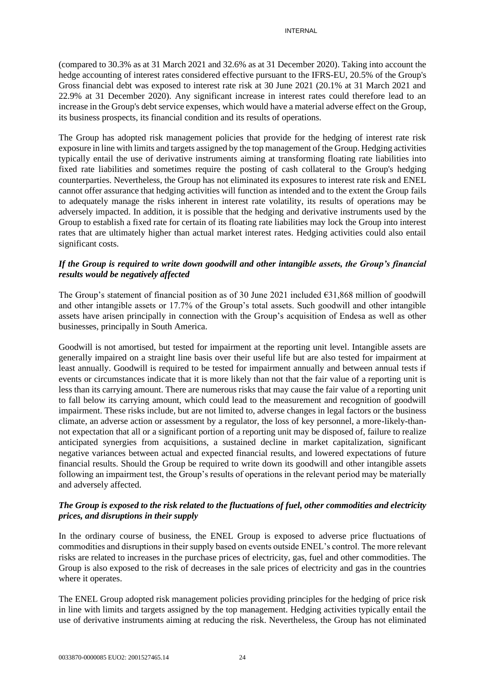(compared to 30.3% as at 31 March 2021 and 32.6% as at 31 December 2020). Taking into account the hedge accounting of interest rates considered effective pursuant to the IFRS-EU, 20.5% of the Group's Gross financial debt was exposed to interest rate risk at 30 June 2021 (20.1% at 31 March 2021 and 22.9% at 31 December 2020). Any significant increase in interest rates could therefore lead to an increase in the Group's debt service expenses, which would have a material adverse effect on the Group, its business prospects, its financial condition and its results of operations.

The Group has adopted risk management policies that provide for the hedging of interest rate risk exposure in line with limits and targets assigned by the top management of the Group. Hedging activities typically entail the use of derivative instruments aiming at transforming floating rate liabilities into fixed rate liabilities and sometimes require the posting of cash collateral to the Group's hedging counterparties. Nevertheless, the Group has not eliminated its exposures to interest rate risk and ENEL cannot offer assurance that hedging activities will function as intended and to the extent the Group fails to adequately manage the risks inherent in interest rate volatility, its results of operations may be adversely impacted. In addition, it is possible that the hedging and derivative instruments used by the Group to establish a fixed rate for certain of its floating rate liabilities may lock the Group into interest rates that are ultimately higher than actual market interest rates. Hedging activities could also entail significant costs.

## *If the Group is required to write down goodwill and other intangible assets, the Group's financial results would be negatively affected*

The Group's statement of financial position as of 30 June 2021 included  $\epsilon$ 31,868 million of goodwill and other intangible assets or 17.7% of the Group's total assets. Such goodwill and other intangible assets have arisen principally in connection with the Group's acquisition of Endesa as well as other businesses, principally in South America.

Goodwill is not amortised, but tested for impairment at the reporting unit level. Intangible assets are generally impaired on a straight line basis over their useful life but are also tested for impairment at least annually. Goodwill is required to be tested for impairment annually and between annual tests if events or circumstances indicate that it is more likely than not that the fair value of a reporting unit is less than its carrying amount. There are numerous risks that may cause the fair value of a reporting unit to fall below its carrying amount, which could lead to the measurement and recognition of goodwill impairment. These risks include, but are not limited to, adverse changes in legal factors or the business climate, an adverse action or assessment by a regulator, the loss of key personnel, a more-likely-thannot expectation that all or a significant portion of a reporting unit may be disposed of, failure to realize anticipated synergies from acquisitions, a sustained decline in market capitalization, significant negative variances between actual and expected financial results, and lowered expectations of future financial results. Should the Group be required to write down its goodwill and other intangible assets following an impairment test, the Group's results of operations in the relevant period may be materially and adversely affected.

# *The Group is exposed to the risk related to the fluctuations of fuel, other commodities and electricity prices, and disruptions in their supply*

In the ordinary course of business, the ENEL Group is exposed to adverse price fluctuations of commodities and disruptions in their supply based on events outside ENEL's control. The more relevant risks are related to increases in the purchase prices of electricity, gas, fuel and other commodities. The Group is also exposed to the risk of decreases in the sale prices of electricity and gas in the countries where it operates.

The ENEL Group adopted risk management policies providing principles for the hedging of price risk in line with limits and targets assigned by the top management. Hedging activities typically entail the use of derivative instruments aiming at reducing the risk. Nevertheless, the Group has not eliminated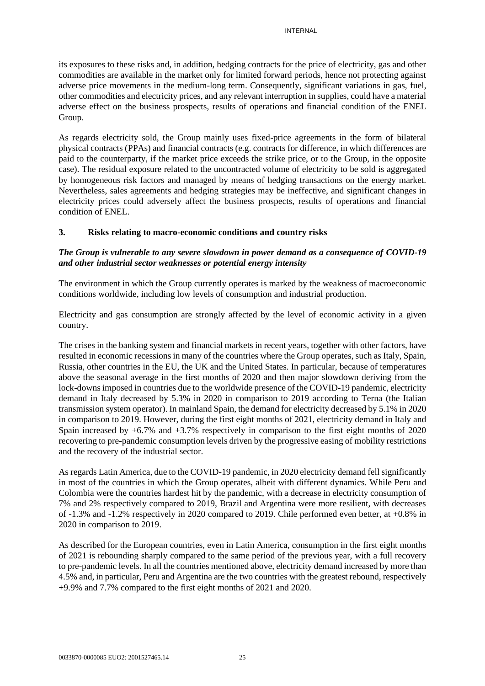its exposures to these risks and, in addition, hedging contracts for the price of electricity, gas and other commodities are available in the market only for limited forward periods, hence not protecting against adverse price movements in the medium-long term. Consequently, significant variations in gas, fuel, other commodities and electricity prices, and any relevant interruption in supplies, could have a material adverse effect on the business prospects, results of operations and financial condition of the ENEL Group.

As regards electricity sold, the Group mainly uses fixed-price agreements in the form of bilateral physical contracts (PPAs) and financial contracts (e.g. contracts for difference, in which differences are paid to the counterparty, if the market price exceeds the strike price, or to the Group, in the opposite case). The residual exposure related to the uncontracted volume of electricity to be sold is aggregated by homogeneous risk factors and managed by means of hedging transactions on the energy market. Nevertheless, sales agreements and hedging strategies may be ineffective, and significant changes in electricity prices could adversely affect the business prospects, results of operations and financial condition of ENEL.

## **3. Risks relating to macro-economic conditions and country risks**

# *The Group is vulnerable to any severe slowdown in power demand as a consequence of COVID-19 and other industrial sector weaknesses or potential energy intensity*

The environment in which the Group currently operates is marked by the weakness of macroeconomic conditions worldwide, including low levels of consumption and industrial production.

Electricity and gas consumption are strongly affected by the level of economic activity in a given country.

The crises in the banking system and financial markets in recent years, together with other factors, have resulted in economic recessions in many of the countries where the Group operates, such as Italy, Spain, Russia, other countries in the EU, the UK and the United States. In particular, because of temperatures above the seasonal average in the first months of 2020 and then major slowdown deriving from the lock-downs imposed in countries due to the worldwide presence of the COVID-19 pandemic, electricity demand in Italy decreased by 5.3% in 2020 in comparison to 2019 according to Terna (the Italian transmission system operator). In mainland Spain, the demand for electricity decreased by 5.1% in 2020 in comparison to 2019. However, during the first eight months of 2021, electricity demand in Italy and Spain increased by +6.7% and +3.7% respectively in comparison to the first eight months of 2020 recovering to pre-pandemic consumption levels driven by the progressive easing of mobility restrictions and the recovery of the industrial sector.

As regards Latin America, due to the COVID-19 pandemic, in 2020 electricity demand fell significantly in most of the countries in which the Group operates, albeit with different dynamics. While Peru and Colombia were the countries hardest hit by the pandemic, with a decrease in electricity consumption of 7% and 2% respectively compared to 2019, Brazil and Argentina were more resilient, with decreases of  $-1.3\%$  and  $-1.2\%$  respectively in 2020 compared to 2019. Chile performed even better, at  $+0.8\%$  in 2020 in comparison to 2019.

As described for the European countries, even in Latin America, consumption in the first eight months of 2021 is rebounding sharply compared to the same period of the previous year, with a full recovery to pre-pandemic levels. In all the countries mentioned above, electricity demand increased by more than 4.5% and, in particular, Peru and Argentina are the two countries with the greatest rebound, respectively +9.9% and 7.7% compared to the first eight months of 2021 and 2020.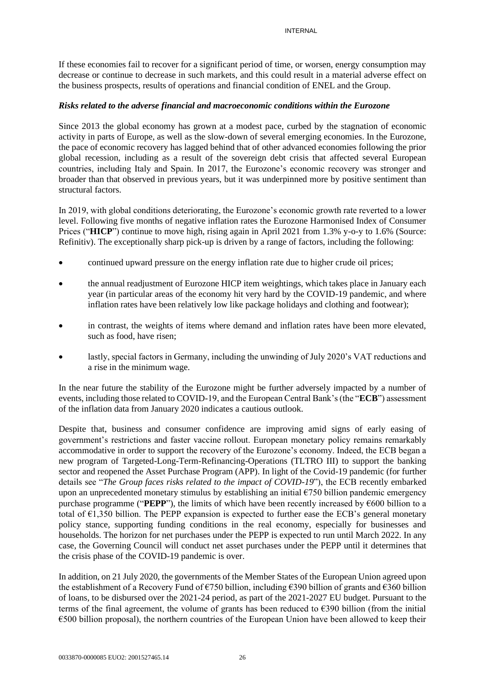If these economies fail to recover for a significant period of time, or worsen, energy consumption may decrease or continue to decrease in such markets, and this could result in a material adverse effect on the business prospects, results of operations and financial condition of ENEL and the Group.

## *Risks related to the adverse financial and macroeconomic conditions within the Eurozone*

Since 2013 the global economy has grown at a modest pace, curbed by the stagnation of economic activity in parts of Europe, as well as the slow-down of several emerging economies. In the Eurozone, the pace of economic recovery has lagged behind that of other advanced economies following the prior global recession, including as a result of the sovereign debt crisis that affected several European countries, including Italy and Spain. In 2017, the Eurozone's economic recovery was stronger and broader than that observed in previous years, but it was underpinned more by positive sentiment than structural factors.

In 2019, with global conditions deteriorating, the Eurozone's economic growth rate reverted to a lower level. Following five months of negative inflation rates the Eurozone Harmonised Index of Consumer Prices ("**HICP**") continue to move high, rising again in April 2021 from 1.3% y-o-y to 1.6% (Source: Refinitiv). The exceptionally sharp pick-up is driven by a range of factors, including the following:

- continued upward pressure on the energy inflation rate due to higher crude oil prices;
- the annual readjustment of Eurozone HICP item weightings, which takes place in January each year (in particular areas of the economy hit very hard by the COVID-19 pandemic, and where inflation rates have been relatively low like package holidays and clothing and footwear);
- in contrast, the weights of items where demand and inflation rates have been more elevated, such as food, have risen;
- lastly, special factors in Germany, including the unwinding of July 2020's VAT reductions and a rise in the minimum wage.

In the near future the stability of the Eurozone might be further adversely impacted by a number of events, including those related to COVID-19, and the European Central Bank's (the "**ECB**") assessment of the inflation data from January 2020 indicates a cautious outlook.

Despite that, business and consumer confidence are improving amid signs of early easing of government's restrictions and faster vaccine rollout. European monetary policy remains remarkably accommodative in order to support the recovery of the Eurozone's economy. Indeed, the ECB began a new program of Targeted-Long-Term-Refinancing-Operations (TLTRO III) to support the banking sector and reopened the Asset Purchase Program (APP). In light of the Covid-19 pandemic (for further details see "*The Group faces risks related to the impact of COVID-19*"), the ECB recently embarked upon an unprecedented monetary stimulus by establishing an initial  $\epsilon$ 750 billion pandemic emergency purchase programme ("**PEPP**"), the limits of which have been recently increased by €600 billion to a total of  $\epsilon$ 1,350 billion. The PEPP expansion is expected to further ease the ECB's general monetary policy stance, supporting funding conditions in the real economy, especially for businesses and households. The horizon for net purchases under the PEPP is expected to run until March 2022. In any case, the Governing Council will conduct net asset purchases under the PEPP until it determines that the crisis phase of the COVID-19 pandemic is over.

In addition, on 21 July 2020, the governments of the Member States of the European Union agreed upon the establishment of a Recovery Fund of  $\epsilon$ 750 billion, including  $\epsilon$ 390 billion of grants and  $\epsilon$ 360 billion of loans, to be disbursed over the 2021-24 period, as part of the 2021-2027 EU budget. Pursuant to the terms of the final agreement, the volume of grants has been reduced to  $\epsilon$ 390 billion (from the initial €500 billion proposal), the northern countries of the European Union have been allowed to keep their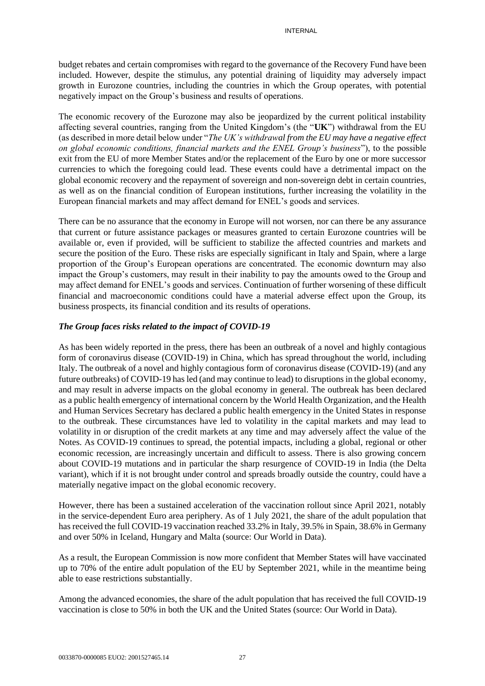budget rebates and certain compromises with regard to the governance of the Recovery Fund have been included. However, despite the stimulus, any potential draining of liquidity may adversely impact growth in Eurozone countries, including the countries in which the Group operates, with potential negatively impact on the Group's business and results of operations.

The economic recovery of the Eurozone may also be jeopardized by the current political instability affecting several countries, ranging from the United Kingdom's (the "**UK**") withdrawal from the EU (as described in more detail below under "*The UK's withdrawal from the EU may have a negative effect on global economic conditions, financial markets and the ENEL Group's business*"), to the possible exit from the EU of more Member States and/or the replacement of the Euro by one or more successor currencies to which the foregoing could lead. These events could have a detrimental impact on the global economic recovery and the repayment of sovereign and non-sovereign debt in certain countries, as well as on the financial condition of European institutions, further increasing the volatility in the European financial markets and may affect demand for ENEL's goods and services.

There can be no assurance that the economy in Europe will not worsen, nor can there be any assurance that current or future assistance packages or measures granted to certain Eurozone countries will be available or, even if provided, will be sufficient to stabilize the affected countries and markets and secure the position of the Euro. These risks are especially significant in Italy and Spain, where a large proportion of the Group's European operations are concentrated. The economic downturn may also impact the Group's customers, may result in their inability to pay the amounts owed to the Group and may affect demand for ENEL's goods and services. Continuation of further worsening of these difficult financial and macroeconomic conditions could have a material adverse effect upon the Group, its business prospects, its financial condition and its results of operations.

## *The Group faces risks related to the impact of COVID-19*

As has been widely reported in the press, there has been an outbreak of a novel and highly contagious form of coronavirus disease (COVID-19) in China, which has spread throughout the world, including Italy. The outbreak of a novel and highly contagious form of coronavirus disease (COVID-19) (and any future outbreaks) of COVID-19 has led (and may continue to lead) to disruptions in the global economy, and may result in adverse impacts on the global economy in general. The outbreak has been declared as a public health emergency of international concern by the World Health Organization, and the Health and Human Services Secretary has declared a public health emergency in the United States in response to the outbreak. These circumstances have led to volatility in the capital markets and may lead to volatility in or disruption of the credit markets at any time and may adversely affect the value of the Notes. As COVID-19 continues to spread, the potential impacts, including a global, regional or other economic recession, are increasingly uncertain and difficult to assess. There is also growing concern about COVID-19 mutations and in particular the sharp resurgence of COVID-19 in India (the Delta variant), which if it is not brought under control and spreads broadly outside the country, could have a materially negative impact on the global economic recovery.

However, there has been a sustained acceleration of the vaccination rollout since April 2021, notably in the service-dependent Euro area periphery. As of 1 July 2021, the share of the adult population that has received the full COVID-19 vaccination reached 33.2% in Italy, 39.5% in Spain, 38.6% in Germany and over 50% in Iceland, Hungary and Malta (source: Our World in Data).

As a result, the European Commission is now more confident that Member States will have vaccinated up to 70% of the entire adult population of the EU by September 2021, while in the meantime being able to ease restrictions substantially.

Among the advanced economies, the share of the adult population that has received the full COVID-19 vaccination is close to 50% in both the UK and the United States (source: Our World in Data).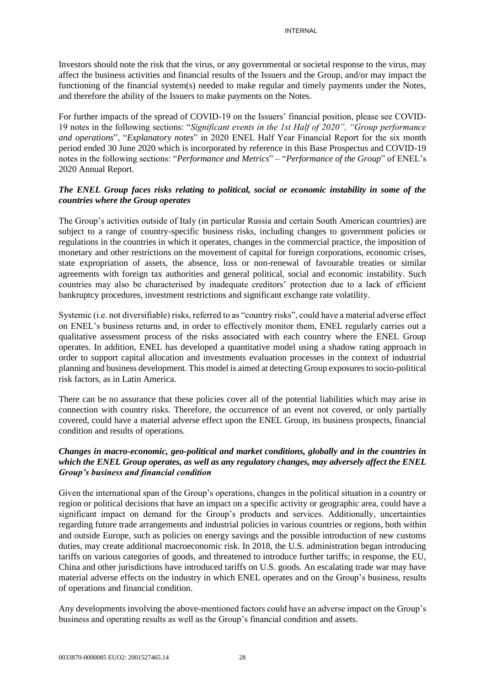Investors should note the risk that the virus, or any governmental or societal response to the virus, may affect the business activities and financial results of the Issuers and the Group, and/or may impact the functioning of the financial system(s) needed to make regular and timely payments under the Notes, and therefore the ability of the Issuers to make payments on the Notes.

For further impacts of the spread of COVID-19 on the Issuers' financial position, please see COVID-19 notes in the following sections: "*Significant events in the 1st Half of 2020", "Group performance and operations*", "*Explanatory notes*" in 2020 ENEL Half Year Financial Report for the six month period ended 30 June 2020 which is incorporated by reference in this Base Prospectus and COVID-19 notes in the following sections: "*Performance and Metrics*" – "*Performance of the Group*" of ENEL's 2020 Annual Report.

## *The ENEL Group faces risks relating to political, social or economic instability in some of the countries where the Group operates*

The Group's activities outside of Italy (in particular Russia and certain South American countries) are subject to a range of country-specific business risks, including changes to government policies or regulations in the countries in which it operates, changes in the commercial practice, the imposition of monetary and other restrictions on the movement of capital for foreign corporations, economic crises, state expropriation of assets, the absence, loss or non-renewal of favourable treaties or similar agreements with foreign tax authorities and general political, social and economic instability. Such countries may also be characterised by inadequate creditors' protection due to a lack of efficient bankruptcy procedures, investment restrictions and significant exchange rate volatility.

Systemic (i.e. not diversifiable) risks, referred to as "country risks", could have a material adverse effect on ENEL's business returns and, in order to effectively monitor them, ENEL regularly carries out a qualitative assessment process of the risks associated with each country where the ENEL Group operates. In addition, ENEL has developed a quantitative model using a shadow rating approach in order to support capital allocation and investments evaluation processes in the context of industrial planning and business development. This model is aimed at detecting Group exposures to socio-political risk factors, as in Latin America.

There can be no assurance that these policies cover all of the potential liabilities which may arise in connection with country risks. Therefore, the occurrence of an event not covered, or only partially covered, could have a material adverse effect upon the ENEL Group, its business prospects, financial condition and results of operations.

## *Changes in macro-economic, geo-political and market conditions, globally and in the countries in which the ENEL Group operates, as well as any regulatory changes, may adversely affect the ENEL Group's business and financial condition*

Given the international span of the Group's operations, changes in the political situation in a country or region or political decisions that have an impact on a specific activity or geographic area, could have a significant impact on demand for the Group's products and services. Additionally, uncertainties regarding future trade arrangements and industrial policies in various countries or regions, both within and outside Europe, such as policies on energy savings and the possible introduction of new customs duties, may create additional macroeconomic risk. In 2018, the U.S. administration began introducing tariffs on various categories of goods, and threatened to introduce further tariffs; in response, the EU, China and other jurisdictions have introduced tariffs on U.S. goods. An escalating trade war may have material adverse effects on the industry in which ENEL operates and on the Group's business, results of operations and financial condition.

Any developments involving the above-mentioned factors could have an adverse impact on the Group's business and operating results as well as the Group's financial condition and assets.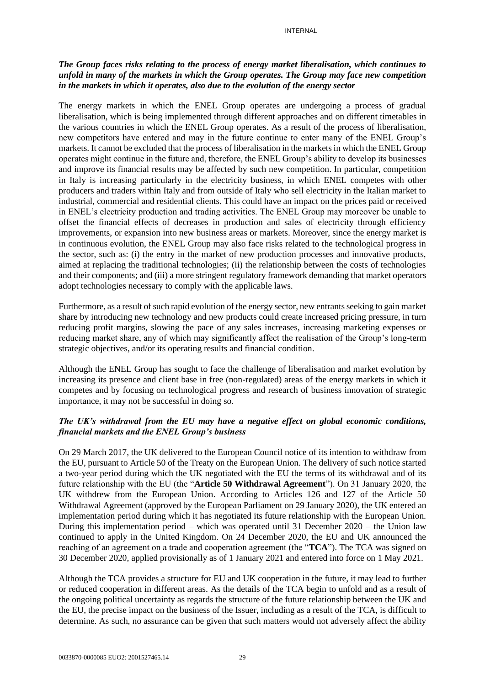## *The Group faces risks relating to the process of energy market liberalisation, which continues to unfold in many of the markets in which the Group operates. The Group may face new competition in the markets in which it operates, also due to the evolution of the energy sector*

The energy markets in which the ENEL Group operates are undergoing a process of gradual liberalisation, which is being implemented through different approaches and on different timetables in the various countries in which the ENEL Group operates. As a result of the process of liberalisation, new competitors have entered and may in the future continue to enter many of the ENEL Group's markets. It cannot be excluded that the process of liberalisation in the markets in which the ENEL Group operates might continue in the future and, therefore, the ENEL Group's ability to develop its businesses and improve its financial results may be affected by such new competition. In particular, competition in Italy is increasing particularly in the electricity business, in which ENEL competes with other producers and traders within Italy and from outside of Italy who sell electricity in the Italian market to industrial, commercial and residential clients. This could have an impact on the prices paid or received in ENEL's electricity production and trading activities. The ENEL Group may moreover be unable to offset the financial effects of decreases in production and sales of electricity through efficiency improvements, or expansion into new business areas or markets. Moreover, since the energy market is in continuous evolution, the ENEL Group may also face risks related to the technological progress in the sector, such as: (i) the entry in the market of new production processes and innovative products, aimed at replacing the traditional technologies; (ii) the relationship between the costs of technologies and their components; and (iii) a more stringent regulatory framework demanding that market operators adopt technologies necessary to comply with the applicable laws.

Furthermore, as a result of such rapid evolution of the energy sector, new entrants seeking to gain market share by introducing new technology and new products could create increased pricing pressure, in turn reducing profit margins, slowing the pace of any sales increases, increasing marketing expenses or reducing market share, any of which may significantly affect the realisation of the Group's long-term strategic objectives, and/or its operating results and financial condition.

Although the ENEL Group has sought to face the challenge of liberalisation and market evolution by increasing its presence and client base in free (non-regulated) areas of the energy markets in which it competes and by focusing on technological progress and research of business innovation of strategic importance, it may not be successful in doing so.

## *The UK's withdrawal from the EU may have a negative effect on global economic conditions, financial markets and the ENEL Group's business*

On 29 March 2017, the UK delivered to the European Council notice of its intention to withdraw from the EU, pursuant to Article 50 of the Treaty on the European Union. The delivery of such notice started a two-year period during which the UK negotiated with the EU the terms of its withdrawal and of its future relationship with the EU (the "**Article 50 Withdrawal Agreement**"). On 31 January 2020, the UK withdrew from the European Union. According to Articles 126 and 127 of the Article 50 Withdrawal Agreement (approved by the European Parliament on 29 January 2020), the UK entered an implementation period during which it has negotiated its future relationship with the European Union. During this implementation period – which was operated until 31 December 2020 – the Union law continued to apply in the United Kingdom. On 24 December 2020, the EU and UK announced the reaching of an agreement on a trade and cooperation agreement (the "**TCA**"). The TCA was signed on 30 December 2020, applied provisionally as of 1 January 2021 and entered into force on 1 May 2021.

Although the TCA provides a structure for EU and UK cooperation in the future, it may lead to further or reduced cooperation in different areas. As the details of the TCA begin to unfold and as a result of the ongoing political uncertainty as regards the structure of the future relationship between the UK and the EU, the precise impact on the business of the Issuer, including as a result of the TCA, is difficult to determine. As such, no assurance can be given that such matters would not adversely affect the ability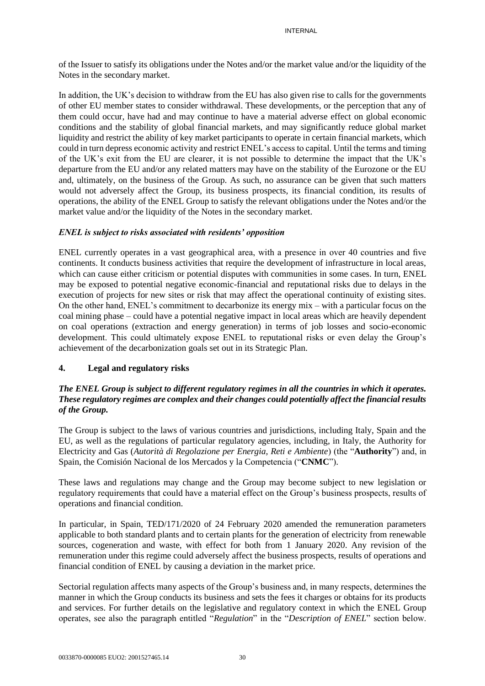of the Issuer to satisfy its obligations under the Notes and/or the market value and/or the liquidity of the Notes in the secondary market.

In addition, the UK's decision to withdraw from the EU has also given rise to calls for the governments of other EU member states to consider withdrawal. These developments, or the perception that any of them could occur, have had and may continue to have a material adverse effect on global economic conditions and the stability of global financial markets, and may significantly reduce global market liquidity and restrict the ability of key market participants to operate in certain financial markets, which could in turn depress economic activity and restrict ENEL's access to capital. Until the terms and timing of the UK's exit from the EU are clearer, it is not possible to determine the impact that the UK's departure from the EU and/or any related matters may have on the stability of the Eurozone or the EU and, ultimately, on the business of the Group. As such, no assurance can be given that such matters would not adversely affect the Group, its business prospects, its financial condition, its results of operations, the ability of the ENEL Group to satisfy the relevant obligations under the Notes and/or the market value and/or the liquidity of the Notes in the secondary market.

## *ENEL is subject to risks associated with residents' opposition*

ENEL currently operates in a vast geographical area, with a presence in over 40 countries and five continents. It conducts business activities that require the development of infrastructure in local areas, which can cause either criticism or potential disputes with communities in some cases. In turn, ENEL may be exposed to potential negative economic-financial and reputational risks due to delays in the execution of projects for new sites or risk that may affect the operational continuity of existing sites. On the other hand, ENEL's commitment to decarbonize its energy mix – with a particular focus on the coal mining phase – could have a potential negative impact in local areas which are heavily dependent on coal operations (extraction and energy generation) in terms of job losses and socio-economic development. This could ultimately expose ENEL to reputational risks or even delay the Group's achievement of the decarbonization goals set out in its Strategic Plan.

# **4. Legal and regulatory risks**

## *The ENEL Group is subject to different regulatory regimes in all the countries in which it operates. These regulatory regimes are complex and their changes could potentially affect the financial results of the Group.*

The Group is subject to the laws of various countries and jurisdictions, including Italy, Spain and the EU, as well as the regulations of particular regulatory agencies, including, in Italy, the Authority for Electricity and Gas (*Autorità di Regolazione per Energia, Reti e Ambiente*) (the "**Authority**") and, in Spain, the Comisión Nacional de los Mercados y la Competencia ("**CNMC**").

These laws and regulations may change and the Group may become subject to new legislation or regulatory requirements that could have a material effect on the Group's business prospects, results of operations and financial condition.

In particular, in Spain, TED/171/2020 of 24 February 2020 amended the remuneration parameters applicable to both standard plants and to certain plants for the generation of electricity from renewable sources, cogeneration and waste, with effect for both from 1 January 2020. Any revision of the remuneration under this regime could adversely affect the business prospects, results of operations and financial condition of ENEL by causing a deviation in the market price.

Sectorial regulation affects many aspects of the Group's business and, in many respects, determines the manner in which the Group conducts its business and sets the fees it charges or obtains for its products and services. For further details on the legislative and regulatory context in which the ENEL Group operates, see also the paragraph entitled "*Regulation*" in the "*Description of ENEL*" section below.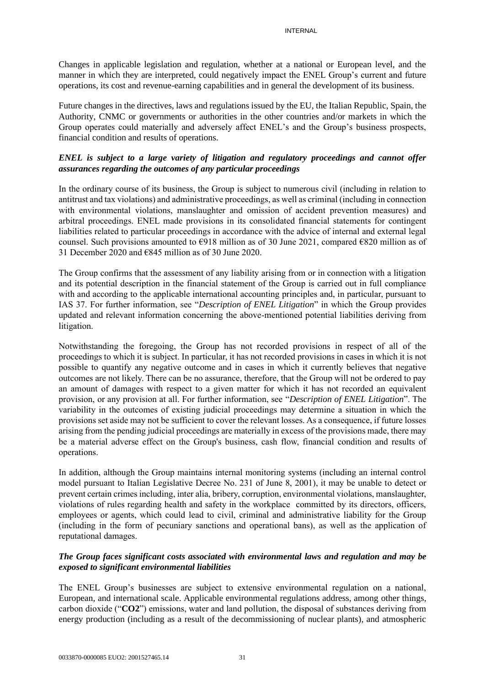Changes in applicable legislation and regulation, whether at a national or European level, and the manner in which they are interpreted, could negatively impact the ENEL Group's current and future operations, its cost and revenue-earning capabilities and in general the development of its business.

Future changes in the directives, laws and regulations issued by the EU, the Italian Republic, Spain, the Authority, CNMC or governments or authorities in the other countries and/or markets in which the Group operates could materially and adversely affect ENEL's and the Group's business prospects, financial condition and results of operations.

# *ENEL is subject to a large variety of litigation and regulatory proceedings and cannot offer assurances regarding the outcomes of any particular proceedings*

In the ordinary course of its business, the Group is subject to numerous civil (including in relation to antitrust and tax violations) and administrative proceedings, as well as criminal (including in connection with environmental violations, manslaughter and omission of accident prevention measures) and arbitral proceedings. ENEL made provisions in its consolidated financial statements for contingent liabilities related to particular proceedings in accordance with the advice of internal and external legal counsel. Such provisions amounted to €918 million as of 30 June 2021, compared €820 million as of 31 December 2020 and  $\epsilon$ 845 million as of 30 June 2020.

The Group confirms that the assessment of any liability arising from or in connection with a litigation and its potential description in the financial statement of the Group is carried out in full compliance with and according to the applicable international accounting principles and, in particular, pursuant to IAS 37. For further information, see "*Description of ENEL Litigation*" in which the Group provides updated and relevant information concerning the above-mentioned potential liabilities deriving from litigation.

Notwithstanding the foregoing, the Group has not recorded provisions in respect of all of the proceedings to which it is subject. In particular, it has not recorded provisions in cases in which it is not possible to quantify any negative outcome and in cases in which it currently believes that negative outcomes are not likely. There can be no assurance, therefore, that the Group will not be ordered to pay an amount of damages with respect to a given matter for which it has not recorded an equivalent provision, or any provision at all. For further information, see "*Description of ENEL Litigation*". The variability in the outcomes of existing judicial proceedings may determine a situation in which the provisions set aside may not be sufficient to cover the relevant losses. As a consequence, if future losses arising from the pending judicial proceedings are materially in excess of the provisions made, there may be a material adverse effect on the Group's business, cash flow, financial condition and results of operations.

In addition, although the Group maintains internal monitoring systems (including an internal control model pursuant to Italian Legislative Decree No. 231 of June 8, 2001), it may be unable to detect or prevent certain crimes including, inter alia, bribery, corruption, environmental violations, manslaughter, violations of rules regarding health and safety in the workplace committed by its directors, officers, employees or agents, which could lead to civil, criminal and administrative liability for the Group (including in the form of pecuniary sanctions and operational bans), as well as the application of reputational damages.

## *The Group faces significant costs associated with environmental laws and regulation and may be exposed to significant environmental liabilities*

The ENEL Group's businesses are subject to extensive environmental regulation on a national, European, and international scale. Applicable environmental regulations address, among other things, carbon dioxide ("**CO2**") emissions, water and land pollution, the disposal of substances deriving from energy production (including as a result of the decommissioning of nuclear plants), and atmospheric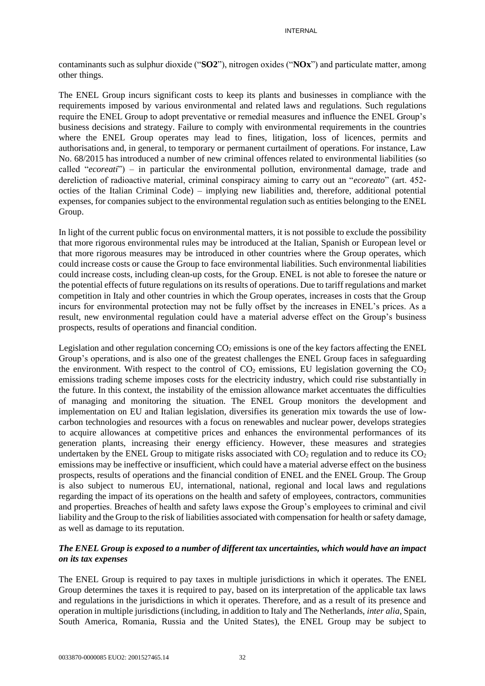contaminants such as sulphur dioxide ("**SO2**"), nitrogen oxides ("**NOx**") and particulate matter, among other things.

The ENEL Group incurs significant costs to keep its plants and businesses in compliance with the requirements imposed by various environmental and related laws and regulations. Such regulations require the ENEL Group to adopt preventative or remedial measures and influence the ENEL Group's business decisions and strategy. Failure to comply with environmental requirements in the countries where the ENEL Group operates may lead to fines, litigation, loss of licences, permits and authorisations and, in general, to temporary or permanent curtailment of operations. For instance, Law No. 68/2015 has introduced a number of new criminal offences related to environmental liabilities (so called "*ecoreati*") – in particular the environmental pollution, environmental damage, trade and dereliction of radioactive material, criminal conspiracy aiming to carry out an "*ecoreato*" (art. 452 octies of the Italian Criminal Code) – implying new liabilities and, therefore, additional potential expenses, for companies subject to the environmental regulation such as entities belonging to the ENEL Group.

In light of the current public focus on environmental matters, it is not possible to exclude the possibility that more rigorous environmental rules may be introduced at the Italian, Spanish or European level or that more rigorous measures may be introduced in other countries where the Group operates, which could increase costs or cause the Group to face environmental liabilities. Such environmental liabilities could increase costs, including clean-up costs, for the Group. ENEL is not able to foresee the nature or the potential effects of future regulations on its results of operations. Due to tariff regulations and market competition in Italy and other countries in which the Group operates, increases in costs that the Group incurs for environmental protection may not be fully offset by the increases in ENEL's prices. As a result, new environmental regulation could have a material adverse effect on the Group's business prospects, results of operations and financial condition.

Legislation and other regulation concerning  $CO<sub>2</sub>$  emissions is one of the key factors affecting the ENEL Group's operations, and is also one of the greatest challenges the ENEL Group faces in safeguarding the environment. With respect to the control of  $CO<sub>2</sub>$  emissions, EU legislation governing the  $CO<sub>2</sub>$ emissions trading scheme imposes costs for the electricity industry, which could rise substantially in the future. In this context, the instability of the emission allowance market accentuates the difficulties of managing and monitoring the situation. The ENEL Group monitors the development and implementation on EU and Italian legislation, diversifies its generation mix towards the use of lowcarbon technologies and resources with a focus on renewables and nuclear power, develops strategies to acquire allowances at competitive prices and enhances the environmental performances of its generation plants, increasing their energy efficiency. However, these measures and strategies undertaken by the ENEL Group to mitigate risks associated with  $CO<sub>2</sub>$  regulation and to reduce its  $CO<sub>2</sub>$ emissions may be ineffective or insufficient, which could have a material adverse effect on the business prospects, results of operations and the financial condition of ENEL and the ENEL Group. The Group is also subject to numerous EU, international, national, regional and local laws and regulations regarding the impact of its operations on the health and safety of employees, contractors, communities and properties. Breaches of health and safety laws expose the Group's employees to criminal and civil liability and the Group to the risk of liabilities associated with compensation for health or safety damage, as well as damage to its reputation.

## *The ENEL Group is exposed to a number of different tax uncertainties, which would have an impact on its tax expenses*

The ENEL Group is required to pay taxes in multiple jurisdictions in which it operates. The ENEL Group determines the taxes it is required to pay, based on its interpretation of the applicable tax laws and regulations in the jurisdictions in which it operates. Therefore, and as a result of its presence and operation in multiple jurisdictions (including, in addition to Italy and The Netherlands, *inter alia*, Spain, South America, Romania, Russia and the United States), the ENEL Group may be subject to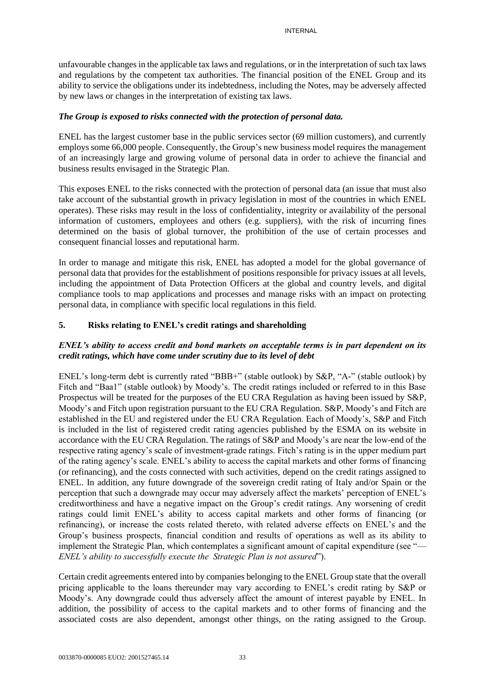unfavourable changes in the applicable tax laws and regulations, or in the interpretation of such tax laws and regulations by the competent tax authorities. The financial position of the ENEL Group and its ability to service the obligations under its indebtedness, including the Notes, may be adversely affected by new laws or changes in the interpretation of existing tax laws.

### *The Group is exposed to risks connected with the protection of personal data.*

ENEL has the largest customer base in the public services sector (69 million customers), and currently employs some 66,000 people. Consequently, the Group's new business model requires the management of an increasingly large and growing volume of personal data in order to achieve the financial and business results envisaged in the Strategic Plan.

This exposes ENEL to the risks connected with the protection of personal data (an issue that must also take account of the substantial growth in privacy legislation in most of the countries in which ENEL operates). These risks may result in the loss of confidentiality, integrity or availability of the personal information of customers, employees and others (e.g. suppliers), with the risk of incurring fines determined on the basis of global turnover, the prohibition of the use of certain processes and consequent financial losses and reputational harm.

In order to manage and mitigate this risk, ENEL has adopted a model for the global governance of personal data that provides for the establishment of positions responsible for privacy issues at all levels, including the appointment of Data Protection Officers at the global and country levels, and digital compliance tools to map applications and processes and manage risks with an impact on protecting personal data, in compliance with specific local regulations in this field.

## **5. Risks relating to ENEL's credit ratings and shareholding**

# *ENEL's ability to access credit and bond markets on acceptable terms is in part dependent on its credit ratings, which have come under scrutiny due to its level of debt*

ENEL's long-term debt is currently rated "BBB+" (stable outlook) by S&P, "A-" (stable outlook) by Fitch and "Baa1" (stable outlook) by Moody's. The credit ratings included or referred to in this Base Prospectus will be treated for the purposes of the EU CRA Regulation as having been issued by S&P, Moody's and Fitch upon registration pursuant to the EU CRA Regulation. S&P, Moody's and Fitch are established in the EU and registered under the EU CRA Regulation. Each of Moody's, S&P and Fitch is included in the list of registered credit rating agencies published by the ESMA on its website in accordance with the EU CRA Regulation. The ratings of S&P and Moody's are near the low-end of the respective rating agency's scale of investment-grade ratings. Fitch's rating is in the upper medium part of the rating agency's scale. ENEL's ability to access the capital markets and other forms of financing (or refinancing), and the costs connected with such activities, depend on the credit ratings assigned to ENEL. In addition, any future downgrade of the sovereign credit rating of Italy and/or Spain or the perception that such a downgrade may occur may adversely affect the markets' perception of ENEL's creditworthiness and have a negative impact on the Group's credit ratings. Any worsening of credit ratings could limit ENEL's ability to access capital markets and other forms of financing (or refinancing), or increase the costs related thereto, with related adverse effects on ENEL's and the Group's business prospects, financial condition and results of operations as well as its ability to implement the Strategic Plan, which contemplates a significant amount of capital expenditure (see "— *ENEL's ability to successfully execute the Strategic Plan is not assured*").

Certain credit agreements entered into by companies belonging to the ENEL Group state that the overall pricing applicable to the loans thereunder may vary according to ENEL's credit rating by S&P or Moody's. Any downgrade could thus adversely affect the amount of interest payable by ENEL. In addition, the possibility of access to the capital markets and to other forms of financing and the associated costs are also dependent, amongst other things, on the rating assigned to the Group.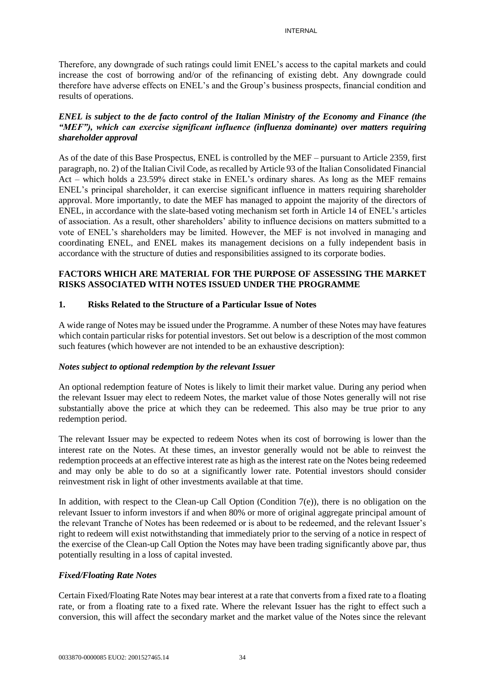Therefore, any downgrade of such ratings could limit ENEL's access to the capital markets and could increase the cost of borrowing and/or of the refinancing of existing debt. Any downgrade could therefore have adverse effects on ENEL's and the Group's business prospects, financial condition and results of operations.

# *ENEL is subject to the de facto control of the Italian Ministry of the Economy and Finance (the "MEF"), which can exercise significant influence (influenza dominante) over matters requiring shareholder approval*

As of the date of this Base Prospectus, ENEL is controlled by the MEF – pursuant to Article 2359, first paragraph, no. 2) of the Italian Civil Code, as recalled by Article 93 of the Italian Consolidated Financial Act – which holds a 23.59% direct stake in ENEL's ordinary shares. As long as the MEF remains ENEL's principal shareholder, it can exercise significant influence in matters requiring shareholder approval. More importantly, to date the MEF has managed to appoint the majority of the directors of ENEL, in accordance with the slate-based voting mechanism set forth in Article 14 of ENEL's articles of association. As a result, other shareholders' ability to influence decisions on matters submitted to a vote of ENEL's shareholders may be limited. However, the MEF is not involved in managing and coordinating ENEL, and ENEL makes its management decisions on a fully independent basis in accordance with the structure of duties and responsibilities assigned to its corporate bodies.

## **FACTORS WHICH ARE MATERIAL FOR THE PURPOSE OF ASSESSING THE MARKET RISKS ASSOCIATED WITH NOTES ISSUED UNDER THE PROGRAMME**

# **1. Risks Related to the Structure of a Particular Issue of Notes**

A wide range of Notes may be issued under the Programme. A number of these Notes may have features which contain particular risks for potential investors. Set out below is a description of the most common such features (which however are not intended to be an exhaustive description):

#### *Notes subject to optional redemption by the relevant Issuer*

An optional redemption feature of Notes is likely to limit their market value. During any period when the relevant Issuer may elect to redeem Notes, the market value of those Notes generally will not rise substantially above the price at which they can be redeemed. This also may be true prior to any redemption period.

The relevant Issuer may be expected to redeem Notes when its cost of borrowing is lower than the interest rate on the Notes. At these times, an investor generally would not be able to reinvest the redemption proceeds at an effective interest rate as high as the interest rate on the Notes being redeemed and may only be able to do so at a significantly lower rate. Potential investors should consider reinvestment risk in light of other investments available at that time.

In addition, with respect to the Clean-up Call Option (Condition  $7(e)$ ), there is no obligation on the relevant Issuer to inform investors if and when 80% or more of original aggregate principal amount of the relevant Tranche of Notes has been redeemed or is about to be redeemed, and the relevant Issuer's right to redeem will exist notwithstanding that immediately prior to the serving of a notice in respect of the exercise of the Clean-up Call Option the Notes may have been trading significantly above par, thus potentially resulting in a loss of capital invested.

#### *Fixed/Floating Rate Notes*

Certain Fixed/Floating Rate Notes may bear interest at a rate that converts from a fixed rate to a floating rate, or from a floating rate to a fixed rate. Where the relevant Issuer has the right to effect such a conversion, this will affect the secondary market and the market value of the Notes since the relevant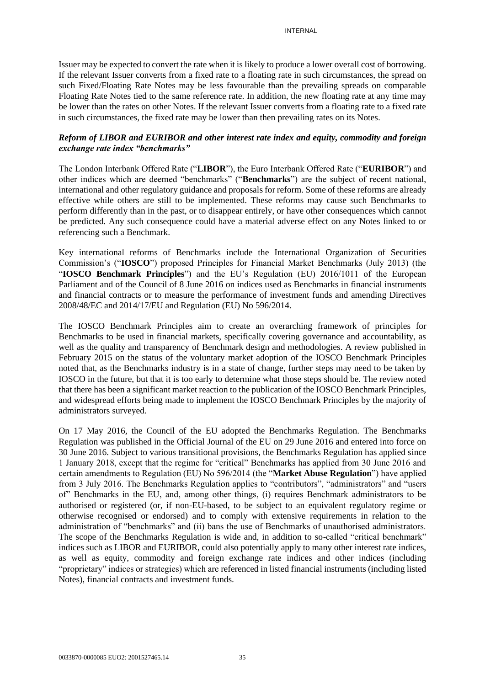Issuer may be expected to convert the rate when it is likely to produce a lower overall cost of borrowing. If the relevant Issuer converts from a fixed rate to a floating rate in such circumstances, the spread on such Fixed/Floating Rate Notes may be less favourable than the prevailing spreads on comparable Floating Rate Notes tied to the same reference rate. In addition, the new floating rate at any time may be lower than the rates on other Notes. If the relevant Issuer converts from a floating rate to a fixed rate in such circumstances, the fixed rate may be lower than then prevailing rates on its Notes.

## *Reform of LIBOR and EURIBOR and other interest rate index and equity, commodity and foreign exchange rate index "benchmarks"*

The London Interbank Offered Rate ("**LIBOR**"), the Euro Interbank Offered Rate ("**EURIBOR**") and other indices which are deemed "benchmarks" ("**Benchmarks**") are the subject of recent national, international and other regulatory guidance and proposals for reform. Some of these reforms are already effective while others are still to be implemented. These reforms may cause such Benchmarks to perform differently than in the past, or to disappear entirely, or have other consequences which cannot be predicted. Any such consequence could have a material adverse effect on any Notes linked to or referencing such a Benchmark.

Key international reforms of Benchmarks include the International Organization of Securities Commission's ("**IOSCO**") proposed Principles for Financial Market Benchmarks (July 2013) (the "**IOSCO Benchmark Principles**") and the EU's Regulation (EU) 2016/1011 of the European Parliament and of the Council of 8 June 2016 on indices used as Benchmarks in financial instruments and financial contracts or to measure the performance of investment funds and amending Directives 2008/48/EC and 2014/17/EU and Regulation (EU) No 596/2014.

The IOSCO Benchmark Principles aim to create an overarching framework of principles for Benchmarks to be used in financial markets, specifically covering governance and accountability, as well as the quality and transparency of Benchmark design and methodologies. A review published in February 2015 on the status of the voluntary market adoption of the IOSCO Benchmark Principles noted that, as the Benchmarks industry is in a state of change, further steps may need to be taken by IOSCO in the future, but that it is too early to determine what those steps should be. The review noted that there has been a significant market reaction to the publication of the IOSCO Benchmark Principles, and widespread efforts being made to implement the IOSCO Benchmark Principles by the majority of administrators surveyed.

On 17 May 2016, the Council of the EU adopted the Benchmarks Regulation. The Benchmarks Regulation was published in the Official Journal of the EU on 29 June 2016 and entered into force on 30 June 2016. Subject to various transitional provisions, the Benchmarks Regulation has applied since 1 January 2018, except that the regime for "critical" Benchmarks has applied from 30 June 2016 and certain amendments to Regulation (EU) No 596/2014 (the "**Market Abuse Regulation**") have applied from 3 July 2016. The Benchmarks Regulation applies to "contributors", "administrators" and "users of" Benchmarks in the EU, and, among other things, (i) requires Benchmark administrators to be authorised or registered (or, if non-EU-based, to be subject to an equivalent regulatory regime or otherwise recognised or endorsed) and to comply with extensive requirements in relation to the administration of "benchmarks" and (ii) bans the use of Benchmarks of unauthorised administrators. The scope of the Benchmarks Regulation is wide and, in addition to so-called "critical benchmark" indices such as LIBOR and EURIBOR, could also potentially apply to many other interest rate indices, as well as equity, commodity and foreign exchange rate indices and other indices (including "proprietary" indices or strategies) which are referenced in listed financial instruments (including listed Notes), financial contracts and investment funds.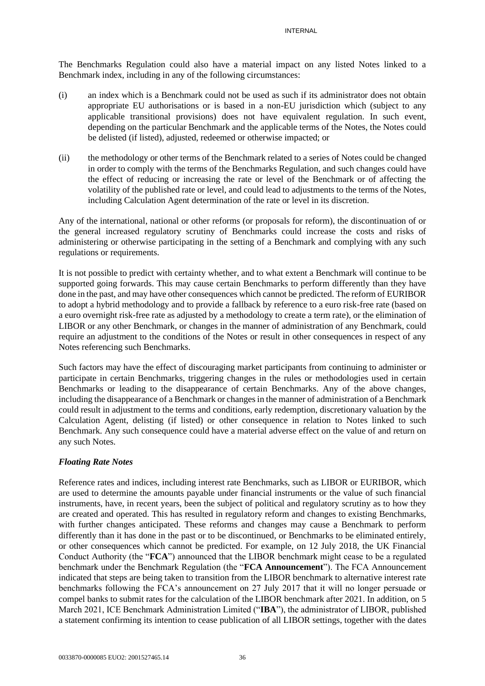The Benchmarks Regulation could also have a material impact on any listed Notes linked to a Benchmark index, including in any of the following circumstances:

- (i) an index which is a Benchmark could not be used as such if its administrator does not obtain appropriate EU authorisations or is based in a non-EU jurisdiction which (subject to any applicable transitional provisions) does not have equivalent regulation. In such event, depending on the particular Benchmark and the applicable terms of the Notes, the Notes could be delisted (if listed), adjusted, redeemed or otherwise impacted; or
- (ii) the methodology or other terms of the Benchmark related to a series of Notes could be changed in order to comply with the terms of the Benchmarks Regulation, and such changes could have the effect of reducing or increasing the rate or level of the Benchmark or of affecting the volatility of the published rate or level, and could lead to adjustments to the terms of the Notes, including Calculation Agent determination of the rate or level in its discretion.

Any of the international, national or other reforms (or proposals for reform), the discontinuation of or the general increased regulatory scrutiny of Benchmarks could increase the costs and risks of administering or otherwise participating in the setting of a Benchmark and complying with any such regulations or requirements.

It is not possible to predict with certainty whether, and to what extent a Benchmark will continue to be supported going forwards. This may cause certain Benchmarks to perform differently than they have done in the past, and may have other consequences which cannot be predicted. The reform of EURIBOR to adopt a hybrid methodology and to provide a fallback by reference to a euro risk-free rate (based on a euro overnight risk-free rate as adjusted by a methodology to create a term rate), or the elimination of LIBOR or any other Benchmark, or changes in the manner of administration of any Benchmark, could require an adjustment to the conditions of the Notes or result in other consequences in respect of any Notes referencing such Benchmarks.

Such factors may have the effect of discouraging market participants from continuing to administer or participate in certain Benchmarks, triggering changes in the rules or methodologies used in certain Benchmarks or leading to the disappearance of certain Benchmarks. Any of the above changes, including the disappearance of a Benchmark or changes in the manner of administration of a Benchmark could result in adjustment to the terms and conditions, early redemption, discretionary valuation by the Calculation Agent, delisting (if listed) or other consequence in relation to Notes linked to such Benchmark. Any such consequence could have a material adverse effect on the value of and return on any such Notes.

#### *Floating Rate Notes*

Reference rates and indices, including interest rate Benchmarks, such as LIBOR or EURIBOR, which are used to determine the amounts payable under financial instruments or the value of such financial instruments, have, in recent years, been the subject of political and regulatory scrutiny as to how they are created and operated. This has resulted in regulatory reform and changes to existing Benchmarks, with further changes anticipated. These reforms and changes may cause a Benchmark to perform differently than it has done in the past or to be discontinued, or Benchmarks to be eliminated entirely, or other consequences which cannot be predicted. For example, on 12 July 2018, the UK Financial Conduct Authority (the "**FCA**") announced that the LIBOR benchmark might cease to be a regulated benchmark under the Benchmark Regulation (the "**FCA Announcement**"). The FCA Announcement indicated that steps are being taken to transition from the LIBOR benchmark to alternative interest rate benchmarks following the FCA's announcement on 27 July 2017 that it will no longer persuade or compel banks to submit rates for the calculation of the LIBOR benchmark after 2021. In addition, on 5 March 2021, ICE Benchmark Administration Limited ("**IBA**"), the administrator of LIBOR, published a statement confirming its intention to cease publication of all LIBOR settings, together with the dates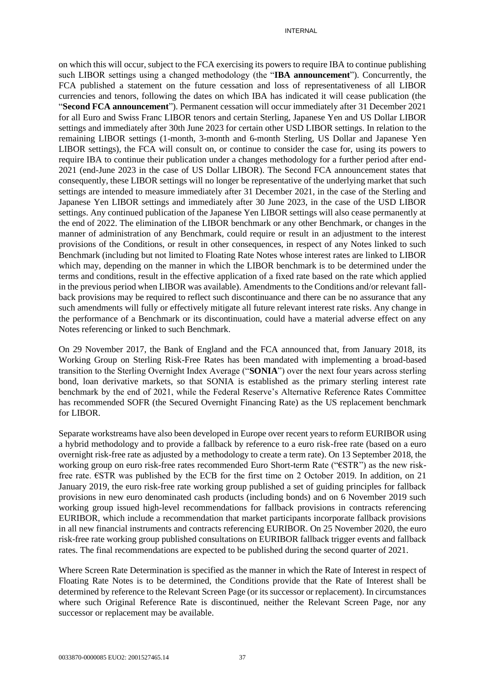on which this will occur, subject to the FCA exercising its powers to require IBA to continue publishing such LIBOR settings using a changed methodology (the "**IBA announcement**"). Concurrently, the FCA published a statement on the future cessation and loss of representativeness of all LIBOR currencies and tenors, following the dates on which IBA has indicated it will cease publication (the "**Second FCA announcement**"). Permanent cessation will occur immediately after 31 December 2021 for all Euro and Swiss Franc LIBOR tenors and certain Sterling, Japanese Yen and US Dollar LIBOR settings and immediately after 30th June 2023 for certain other USD LIBOR settings. In relation to the remaining LIBOR settings (1-month, 3-month and 6-month Sterling, US Dollar and Japanese Yen LIBOR settings), the FCA will consult on, or continue to consider the case for, using its powers to require IBA to continue their publication under a changes methodology for a further period after end-2021 (end-June 2023 in the case of US Dollar LIBOR). The Second FCA announcement states that consequently, these LIBOR settings will no longer be representative of the underlying market that such settings are intended to measure immediately after 31 December 2021, in the case of the Sterling and Japanese Yen LIBOR settings and immediately after 30 June 2023, in the case of the USD LIBOR settings. Any continued publication of the Japanese Yen LIBOR settings will also cease permanently at the end of 2022. The elimination of the LIBOR benchmark or any other Benchmark, or changes in the manner of administration of any Benchmark, could require or result in an adjustment to the interest provisions of the Conditions, or result in other consequences, in respect of any Notes linked to such Benchmark (including but not limited to Floating Rate Notes whose interest rates are linked to LIBOR which may, depending on the manner in which the LIBOR benchmark is to be determined under the terms and conditions, result in the effective application of a fixed rate based on the rate which applied in the previous period when LIBOR was available). Amendments to the Conditions and/or relevant fallback provisions may be required to reflect such discontinuance and there can be no assurance that any such amendments will fully or effectively mitigate all future relevant interest rate risks. Any change in the performance of a Benchmark or its discontinuation, could have a material adverse effect on any Notes referencing or linked to such Benchmark.

On 29 November 2017, the Bank of England and the FCA announced that, from January 2018, its Working Group on Sterling Risk-Free Rates has been mandated with implementing a broad-based transition to the Sterling Overnight Index Average ("**SONIA**") over the next four years across sterling bond, loan derivative markets, so that SONIA is established as the primary sterling interest rate benchmark by the end of 2021, while the Federal Reserve's Alternative Reference Rates Committee has recommended SOFR (the Secured Overnight Financing Rate) as the US replacement benchmark for LIBOR.

Separate workstreams have also been developed in Europe over recent years to reform EURIBOR using a hybrid methodology and to provide a fallback by reference to a euro risk-free rate (based on a euro overnight risk-free rate as adjusted by a methodology to create a term rate). On 13 September 2018, the working group on euro risk-free rates recommended Euro Short-term Rate ("€STR") as the new riskfree rate. €STR was published by the ECB for the first time on 2 October 2019. In addition, on 21 January 2019, the euro risk-free rate working group published a set of guiding principles for fallback provisions in new euro denominated cash products (including bonds) and on 6 November 2019 such working group issued high-level recommendations for fallback provisions in contracts referencing EURIBOR, which include a recommendation that market participants incorporate fallback provisions in all new financial instruments and contracts referencing EURIBOR. On 25 November 2020, the euro risk-free rate working group published consultations on EURIBOR fallback trigger events and fallback rates. The final recommendations are expected to be published during the second quarter of 2021.

Where Screen Rate Determination is specified as the manner in which the Rate of Interest in respect of Floating Rate Notes is to be determined, the Conditions provide that the Rate of Interest shall be determined by reference to the Relevant Screen Page (or its successor or replacement). In circumstances where such Original Reference Rate is discontinued, neither the Relevant Screen Page, nor any successor or replacement may be available.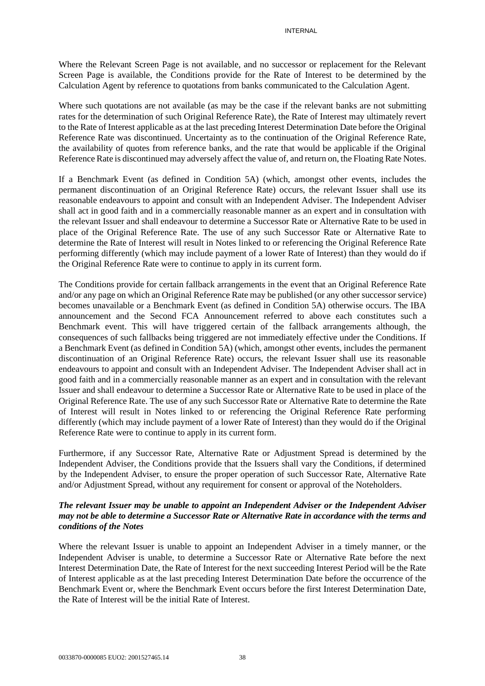Where the Relevant Screen Page is not available, and no successor or replacement for the Relevant Screen Page is available, the Conditions provide for the Rate of Interest to be determined by the Calculation Agent by reference to quotations from banks communicated to the Calculation Agent.

Where such quotations are not available (as may be the case if the relevant banks are not submitting rates for the determination of such Original Reference Rate), the Rate of Interest may ultimately revert to the Rate of Interest applicable as at the last preceding Interest Determination Date before the Original Reference Rate was discontinued. Uncertainty as to the continuation of the Original Reference Rate, the availability of quotes from reference banks, and the rate that would be applicable if the Original Reference Rate is discontinued may adversely affect the value of, and return on, the Floating Rate Notes.

If a Benchmark Event (as defined in Condition 5A) (which, amongst other events, includes the permanent discontinuation of an Original Reference Rate) occurs, the relevant Issuer shall use its reasonable endeavours to appoint and consult with an Independent Adviser. The Independent Adviser shall act in good faith and in a commercially reasonable manner as an expert and in consultation with the relevant Issuer and shall endeavour to determine a Successor Rate or Alternative Rate to be used in place of the Original Reference Rate. The use of any such Successor Rate or Alternative Rate to determine the Rate of Interest will result in Notes linked to or referencing the Original Reference Rate performing differently (which may include payment of a lower Rate of Interest) than they would do if the Original Reference Rate were to continue to apply in its current form.

The Conditions provide for certain fallback arrangements in the event that an Original Reference Rate and/or any page on which an Original Reference Rate may be published (or any other successor service) becomes unavailable or a Benchmark Event (as defined in Condition 5A) otherwise occurs. The IBA announcement and the Second FCA Announcement referred to above each constitutes such a Benchmark event. This will have triggered certain of the fallback arrangements although, the consequences of such fallbacks being triggered are not immediately effective under the Conditions. If a Benchmark Event (as defined in Condition 5A) (which, amongst other events, includes the permanent discontinuation of an Original Reference Rate) occurs, the relevant Issuer shall use its reasonable endeavours to appoint and consult with an Independent Adviser. The Independent Adviser shall act in good faith and in a commercially reasonable manner as an expert and in consultation with the relevant Issuer and shall endeavour to determine a Successor Rate or Alternative Rate to be used in place of the Original Reference Rate. The use of any such Successor Rate or Alternative Rate to determine the Rate of Interest will result in Notes linked to or referencing the Original Reference Rate performing differently (which may include payment of a lower Rate of Interest) than they would do if the Original Reference Rate were to continue to apply in its current form.

Furthermore, if any Successor Rate, Alternative Rate or Adjustment Spread is determined by the Independent Adviser, the Conditions provide that the Issuers shall vary the Conditions, if determined by the Independent Adviser, to ensure the proper operation of such Successor Rate, Alternative Rate and/or Adjustment Spread, without any requirement for consent or approval of the Noteholders.

## *The relevant Issuer may be unable to appoint an Independent Adviser or the Independent Adviser may not be able to determine a Successor Rate or Alternative Rate in accordance with the terms and conditions of the Notes*

Where the relevant Issuer is unable to appoint an Independent Adviser in a timely manner, or the Independent Adviser is unable, to determine a Successor Rate or Alternative Rate before the next Interest Determination Date, the Rate of Interest for the next succeeding Interest Period will be the Rate of Interest applicable as at the last preceding Interest Determination Date before the occurrence of the Benchmark Event or, where the Benchmark Event occurs before the first Interest Determination Date, the Rate of Interest will be the initial Rate of Interest.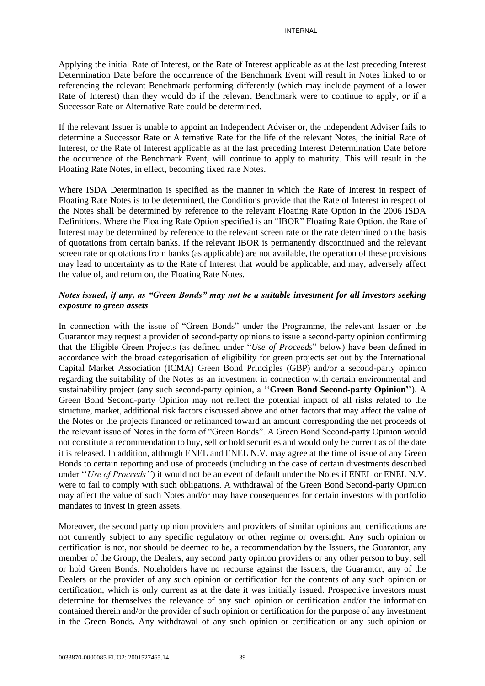Applying the initial Rate of Interest, or the Rate of Interest applicable as at the last preceding Interest Determination Date before the occurrence of the Benchmark Event will result in Notes linked to or referencing the relevant Benchmark performing differently (which may include payment of a lower Rate of Interest) than they would do if the relevant Benchmark were to continue to apply, or if a Successor Rate or Alternative Rate could be determined.

If the relevant Issuer is unable to appoint an Independent Adviser or, the Independent Adviser fails to determine a Successor Rate or Alternative Rate for the life of the relevant Notes, the initial Rate of Interest, or the Rate of Interest applicable as at the last preceding Interest Determination Date before the occurrence of the Benchmark Event, will continue to apply to maturity. This will result in the Floating Rate Notes, in effect, becoming fixed rate Notes.

Where ISDA Determination is specified as the manner in which the Rate of Interest in respect of Floating Rate Notes is to be determined, the Conditions provide that the Rate of Interest in respect of the Notes shall be determined by reference to the relevant Floating Rate Option in the 2006 ISDA Definitions. Where the Floating Rate Option specified is an "IBOR" Floating Rate Option, the Rate of Interest may be determined by reference to the relevant screen rate or the rate determined on the basis of quotations from certain banks. If the relevant IBOR is permanently discontinued and the relevant screen rate or quotations from banks (as applicable) are not available, the operation of these provisions may lead to uncertainty as to the Rate of Interest that would be applicable, and may, adversely affect the value of, and return on, the Floating Rate Notes.

### *Notes issued, if any, as "Green Bonds" may not be a suitable investment for all investors seeking exposure to green assets*

In connection with the issue of "Green Bonds" under the Programme, the relevant Issuer or the Guarantor may request a provider of second-party opinions to issue a second-party opinion confirming that the Eligible Green Projects (as defined under "*Use of Proceeds*" below) have been defined in accordance with the broad categorisation of eligibility for green projects set out by the International Capital Market Association (ICMA) Green Bond Principles (GBP) and/or a second-party opinion regarding the suitability of the Notes as an investment in connection with certain environmental and sustainability project (any such second-party opinion, a ''**Green Bond Second-party Opinion''**). A Green Bond Second-party Opinion may not reflect the potential impact of all risks related to the structure, market, additional risk factors discussed above and other factors that may affect the value of the Notes or the projects financed or refinanced toward an amount corresponding the net proceeds of the relevant issue of Notes in the form of "Green Bonds". A Green Bond Second-party Opinion would not constitute a recommendation to buy, sell or hold securities and would only be current as of the date it is released. In addition, although ENEL and ENEL N.V. may agree at the time of issue of any Green Bonds to certain reporting and use of proceeds (including in the case of certain divestments described under "*Use of Proceeds''*) it would not be an event of default under the Notes if ENEL or ENEL N.V. were to fail to comply with such obligations. A withdrawal of the Green Bond Second-party Opinion may affect the value of such Notes and/or may have consequences for certain investors with portfolio mandates to invest in green assets.

Moreover, the second party opinion providers and providers of similar opinions and certifications are not currently subject to any specific regulatory or other regime or oversight. Any such opinion or certification is not, nor should be deemed to be, a recommendation by the Issuers, the Guarantor, any member of the Group, the Dealers, any second party opinion providers or any other person to buy, sell or hold Green Bonds. Noteholders have no recourse against the Issuers, the Guarantor, any of the Dealers or the provider of any such opinion or certification for the contents of any such opinion or certification, which is only current as at the date it was initially issued. Prospective investors must determine for themselves the relevance of any such opinion or certification and/or the information contained therein and/or the provider of such opinion or certification for the purpose of any investment in the Green Bonds. Any withdrawal of any such opinion or certification or any such opinion or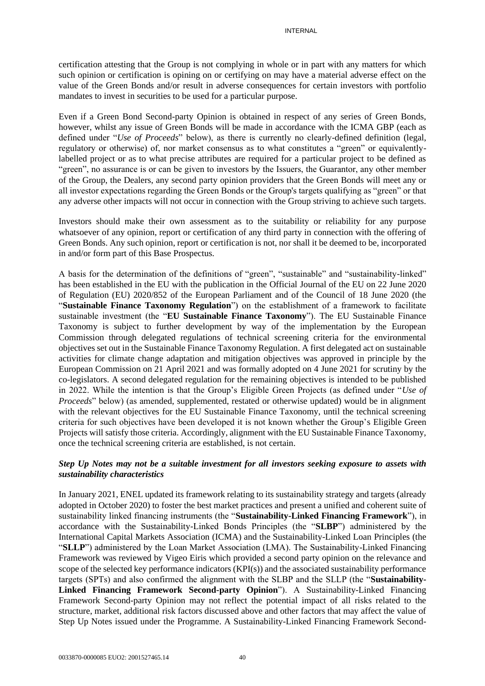certification attesting that the Group is not complying in whole or in part with any matters for which such opinion or certification is opining on or certifying on may have a material adverse effect on the value of the Green Bonds and/or result in adverse consequences for certain investors with portfolio mandates to invest in securities to be used for a particular purpose.

Even if a Green Bond Second-party Opinion is obtained in respect of any series of Green Bonds, however, whilst any issue of Green Bonds will be made in accordance with the ICMA GBP (each as defined under "*Use of Proceeds*" below), as there is currently no clearly-defined definition (legal, regulatory or otherwise) of, nor market consensus as to what constitutes a "green" or equivalentlylabelled project or as to what precise attributes are required for a particular project to be defined as "green", no assurance is or can be given to investors by the Issuers, the Guarantor, any other member of the Group, the Dealers, any second party opinion providers that the Green Bonds will meet any or all investor expectations regarding the Green Bonds or the Group's targets qualifying as "green" or that any adverse other impacts will not occur in connection with the Group striving to achieve such targets.

Investors should make their own assessment as to the suitability or reliability for any purpose whatsoever of any opinion, report or certification of any third party in connection with the offering of Green Bonds. Any such opinion, report or certification is not, nor shall it be deemed to be, incorporated in and/or form part of this Base Prospectus.

A basis for the determination of the definitions of "green", "sustainable" and "sustainability-linked" has been established in the EU with the publication in the Official Journal of the EU on 22 June 2020 of Regulation (EU) 2020/852 of the European Parliament and of the Council of 18 June 2020 (the "**Sustainable Finance Taxonomy Regulation**") on the establishment of a framework to facilitate sustainable investment (the "**EU Sustainable Finance Taxonomy**"). The EU Sustainable Finance Taxonomy is subject to further development by way of the implementation by the European Commission through delegated regulations of technical screening criteria for the environmental objectives set out in the Sustainable Finance Taxonomy Regulation. A first delegated act on sustainable activities for climate change adaptation and mitigation objectives was approved in principle by the European Commission on 21 April 2021 and was formally adopted on 4 June 2021 for scrutiny by the co-legislators. A second delegated regulation for the remaining objectives is intended to be published in 2022. While the intention is that the Group's Eligible Green Projects (as defined under "*Use of Proceeds*" below) (as amended, supplemented, restated or otherwise updated) would be in alignment with the relevant objectives for the EU Sustainable Finance Taxonomy, until the technical screening criteria for such objectives have been developed it is not known whether the Group's Eligible Green Projects will satisfy those criteria. Accordingly, alignment with the EU Sustainable Finance Taxonomy, once the technical screening criteria are established, is not certain.

## *Step Up Notes may not be a suitable investment for all investors seeking exposure to assets with sustainability characteristics*

In January 2021, ENEL updated its framework relating to its sustainability strategy and targets (already adopted in October 2020) to foster the best market practices and present a unified and coherent suite of sustainability linked financing instruments (the "**Sustainability-Linked Financing Framework**"), in accordance with the Sustainability-Linked Bonds Principles (the "**SLBP**") administered by the International Capital Markets Association (ICMA) and the Sustainability-Linked Loan Principles (the "**SLLP**") administered by the Loan Market Association (LMA). The Sustainability-Linked Financing Framework was reviewed by Vigeo Eiris which provided a second party opinion on the relevance and scope of the selected key performance indicators (KPI(s)) and the associated sustainability performance targets (SPTs) and also confirmed the alignment with the SLBP and the SLLP (the "**Sustainability-Linked Financing Framework Second-party Opinion**"). A Sustainability-Linked Financing Framework Second-party Opinion may not reflect the potential impact of all risks related to the structure, market, additional risk factors discussed above and other factors that may affect the value of Step Up Notes issued under the Programme. A Sustainability-Linked Financing Framework Second-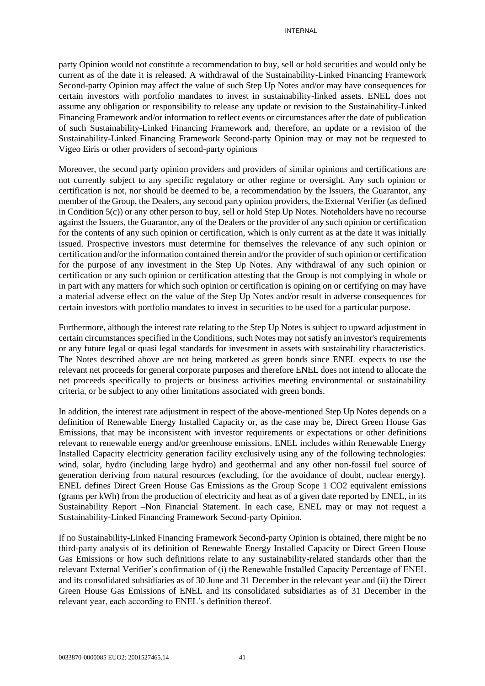party Opinion would not constitute a recommendation to buy, sell or hold securities and would only be current as of the date it is released. A withdrawal of the Sustainability-Linked Financing Framework Second-party Opinion may affect the value of such Step Up Notes and/or may have consequences for certain investors with portfolio mandates to invest in sustainability-linked assets. ENEL does not assume any obligation or responsibility to release any update or revision to the Sustainability-Linked Financing Framework and/or information to reflect events or circumstances after the date of publication of such Sustainability-Linked Financing Framework and, therefore, an update or a revision of the Sustainability-Linked Financing Framework Second-party Opinion may or may not be requested to Vigeo Eiris or other providers of second-party opinions

Moreover, the second party opinion providers and providers of similar opinions and certifications are not currently subject to any specific regulatory or other regime or oversight. Any such opinion or certification is not, nor should be deemed to be, a recommendation by the Issuers, the Guarantor, any member of the Group, the Dealers, any second party opinion providers, the External Verifier (as defined in Condition 5(c)) or any other person to buy, sell or hold Step Up Notes. Noteholders have no recourse against the Issuers, the Guarantor, any of the Dealers or the provider of any such opinion or certification for the contents of any such opinion or certification, which is only current as at the date it was initially issued. Prospective investors must determine for themselves the relevance of any such opinion or certification and/or the information contained therein and/or the provider of such opinion or certification for the purpose of any investment in the Step Up Notes. Any withdrawal of any such opinion or certification or any such opinion or certification attesting that the Group is not complying in whole or in part with any matters for which such opinion or certification is opining on or certifying on may have a material adverse effect on the value of the Step Up Notes and/or result in adverse consequences for certain investors with portfolio mandates to invest in securities to be used for a particular purpose.

Furthermore, although the interest rate relating to the Step Up Notes is subject to upward adjustment in certain circumstances specified in the Conditions, such Notes may not satisfy an investor's requirements or any future legal or quasi legal standards for investment in assets with sustainability characteristics. The Notes described above are not being marketed as green bonds since ENEL expects to use the relevant net proceeds for general corporate purposes and therefore ENEL does not intend to allocate the net proceeds specifically to projects or business activities meeting environmental or sustainability criteria, or be subject to any other limitations associated with green bonds.

In addition, the interest rate adjustment in respect of the above-mentioned Step Up Notes depends on a definition of Renewable Energy Installed Capacity or, as the case may be, Direct Green House Gas Emissions, that may be inconsistent with investor requirements or expectations or other definitions relevant to renewable energy and/or greenhouse emissions. ENEL includes within Renewable Energy Installed Capacity electricity generation facility exclusively using any of the following technologies: wind, solar, hydro (including large hydro) and geothermal and any other non-fossil fuel source of generation deriving from natural resources (excluding, for the avoidance of doubt, nuclear energy). ENEL defines Direct Green House Gas Emissions as the Group Scope 1 CO2 equivalent emissions (grams per kWh) from the production of electricity and heat as of a given date reported by ENEL, in its Sustainability Report –Non Financial Statement. In each case, ENEL may or may not request a Sustainability-Linked Financing Framework Second-party Opinion.

If no Sustainability-Linked Financing Framework Second-party Opinion is obtained, there might be no third-party analysis of its definition of Renewable Energy Installed Capacity or Direct Green House Gas Emissions or how such definitions relate to any sustainability-related standards other than the relevant External Verifier's confirmation of (i) the Renewable Installed Capacity Percentage of ENEL and its consolidated subsidiaries as of 30 June and 31 December in the relevant year and (ii) the Direct Green House Gas Emissions of ENEL and its consolidated subsidiaries as of 31 December in the relevant year, each according to ENEL's definition thereof.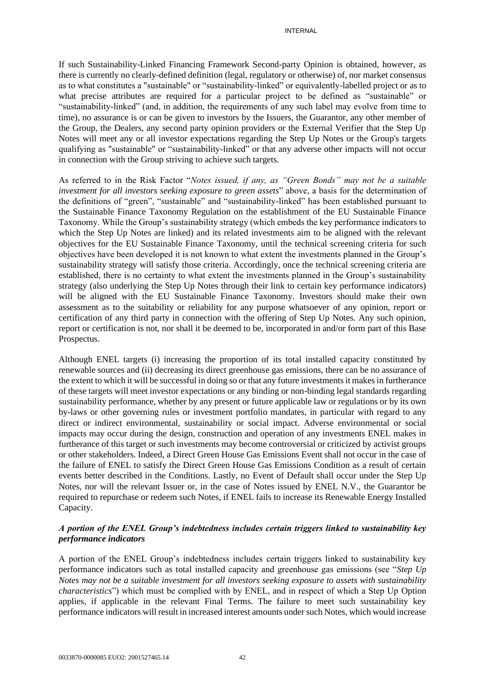If such Sustainability-Linked Financing Framework Second-party Opinion is obtained, however, as there is currently no clearly-defined definition (legal, regulatory or otherwise) of, nor market consensus as to what constitutes a "sustainable" or "sustainability-linked" or equivalently-labelled project or as to what precise attributes are required for a particular project to be defined as "sustainable" or "sustainability-linked" (and, in addition, the requirements of any such label may evolve from time to time), no assurance is or can be given to investors by the Issuers, the Guarantor, any other member of the Group, the Dealers, any second party opinion providers or the External Verifier that the Step Up Notes will meet any or all investor expectations regarding the Step Up Notes or the Group's targets qualifying as "sustainable" or "sustainability-linked" or that any adverse other impacts will not occur in connection with the Group striving to achieve such targets.

As referred to in the Risk Factor "*Notes issued, if any, as "Green Bonds" may not be a suitable investment for all investors seeking exposure to green assets*" above, a basis for the determination of the definitions of "green", "sustainable" and "sustainability-linked" has been established pursuant to the Sustainable Finance Taxonomy Regulation on the establishment of the EU Sustainable Finance Taxonomy. While the Group's sustainability strategy (which embeds the key performance indicators to which the Step Up Notes are linked) and its related investments aim to be aligned with the relevant objectives for the EU Sustainable Finance Taxonomy, until the technical screening criteria for such objectives have been developed it is not known to what extent the investments planned in the Group's sustainability strategy will satisfy those criteria. Accordingly, once the technical screening criteria are established, there is no certainty to what extent the investments planned in the Group's sustainability strategy (also underlying the Step Up Notes through their link to certain key performance indicators) will be aligned with the EU Sustainable Finance Taxonomy. Investors should make their own assessment as to the suitability or reliability for any purpose whatsoever of any opinion, report or certification of any third party in connection with the offering of Step Up Notes. Any such opinion, report or certification is not, nor shall it be deemed to be, incorporated in and/or form part of this Base Prospectus.

Although ENEL targets (i) increasing the proportion of its total installed capacity constituted by renewable sources and (ii) decreasing its direct greenhouse gas emissions, there can be no assurance of the extent to which it will be successful in doing so or that any future investments it makes in furtherance of these targets will meet investor expectations or any binding or non-binding legal standards regarding sustainability performance, whether by any present or future applicable law or regulations or by its own by-laws or other governing rules or investment portfolio mandates, in particular with regard to any direct or indirect environmental, sustainability or social impact. Adverse environmental or social impacts may occur during the design, construction and operation of any investments ENEL makes in furtherance of this target or such investments may become controversial or criticized by activist groups or other stakeholders. Indeed, a Direct Green House Gas Emissions Event shall not occur in the case of the failure of ENEL to satisfy the Direct Green House Gas Emissions Condition as a result of certain events better described in the Conditions. Lastly, no Event of Default shall occur under the Step Up Notes, nor will the relevant Issuer or, in the case of Notes issued by ENEL N.V., the Guarantor be required to repurchase or redeem such Notes, if ENEL fails to increase its Renewable Energy Installed Capacity.

# *A portion of the ENEL Group's indebtedness includes certain triggers linked to sustainability key performance indicators*

A portion of the ENEL Group's indebtedness includes certain triggers linked to sustainability key performance indicators such as total installed capacity and greenhouse gas emissions (see "*Step Up Notes may not be a suitable investment for all investors seeking exposure to assets with sustainability characteristics*") which must be complied with by ENEL, and in respect of which a Step Up Option applies, if applicable in the relevant Final Terms. The failure to meet such sustainability key performance indicators will result in increased interest amounts under such Notes, which would increase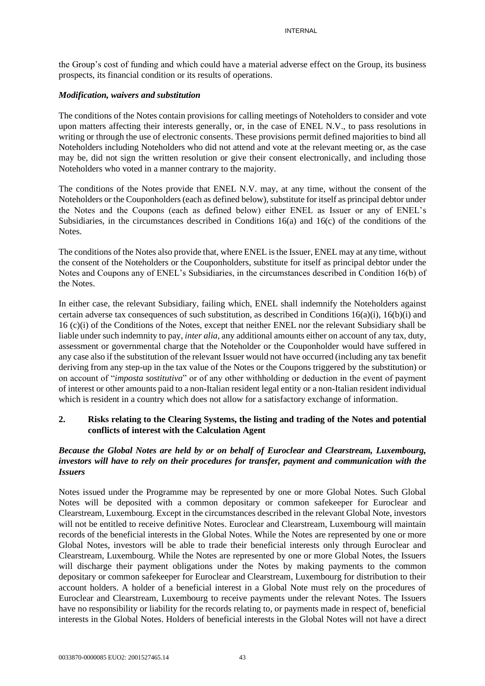the Group's cost of funding and which could have a material adverse effect on the Group, its business prospects, its financial condition or its results of operations.

#### *Modification, waivers and substitution*

The conditions of the Notes contain provisions for calling meetings of Noteholders to consider and vote upon matters affecting their interests generally, or, in the case of ENEL N.V., to pass resolutions in writing or through the use of electronic consents. These provisions permit defined majorities to bind all Noteholders including Noteholders who did not attend and vote at the relevant meeting or, as the case may be, did not sign the written resolution or give their consent electronically, and including those Noteholders who voted in a manner contrary to the majority.

The conditions of the Notes provide that ENEL N.V. may, at any time, without the consent of the Noteholders or the Couponholders (each as defined below), substitute for itself as principal debtor under the Notes and the Coupons (each as defined below) either ENEL as Issuer or any of ENEL's Subsidiaries, in the circumstances described in Conditions 16(a) and 16(c) of the conditions of the Notes.

The conditions of the Notes also provide that, where ENEL is the Issuer, ENEL may at any time, without the consent of the Noteholders or the Couponholders, substitute for itself as principal debtor under the Notes and Coupons any of ENEL's Subsidiaries, in the circumstances described in Condition 16(b) of the Notes.

In either case, the relevant Subsidiary, failing which, ENEL shall indemnify the Noteholders against certain adverse tax consequences of such substitution, as described in Conditions 16(a)(i), 16(b)(i) and 16 (c)(i) of the Conditions of the Notes, except that neither ENEL nor the relevant Subsidiary shall be liable under such indemnity to pay, *inter alia*, any additional amounts either on account of any tax, duty, assessment or governmental charge that the Noteholder or the Couponholder would have suffered in any case also if the substitution of the relevant Issuer would not have occurred (including any tax benefit deriving from any step-up in the tax value of the Notes or the Coupons triggered by the substitution) or on account of "*imposta sostitutiva*" or of any other withholding or deduction in the event of payment of interest or other amounts paid to a non-Italian resident legal entity or a non-Italian resident individual which is resident in a country which does not allow for a satisfactory exchange of information.

#### **2. Risks relating to the Clearing Systems, the listing and trading of the Notes and potential conflicts of interest with the Calculation Agent**

## *Because the Global Notes are held by or on behalf of Euroclear and Clearstream, Luxembourg, investors will have to rely on their procedures for transfer, payment and communication with the Issuers*

Notes issued under the Programme may be represented by one or more Global Notes. Such Global Notes will be deposited with a common depositary or common safekeeper for Euroclear and Clearstream, Luxembourg. Except in the circumstances described in the relevant Global Note, investors will not be entitled to receive definitive Notes. Euroclear and Clearstream, Luxembourg will maintain records of the beneficial interests in the Global Notes. While the Notes are represented by one or more Global Notes, investors will be able to trade their beneficial interests only through Euroclear and Clearstream, Luxembourg. While the Notes are represented by one or more Global Notes, the Issuers will discharge their payment obligations under the Notes by making payments to the common depositary or common safekeeper for Euroclear and Clearstream, Luxembourg for distribution to their account holders. A holder of a beneficial interest in a Global Note must rely on the procedures of Euroclear and Clearstream, Luxembourg to receive payments under the relevant Notes. The Issuers have no responsibility or liability for the records relating to, or payments made in respect of, beneficial interests in the Global Notes. Holders of beneficial interests in the Global Notes will not have a direct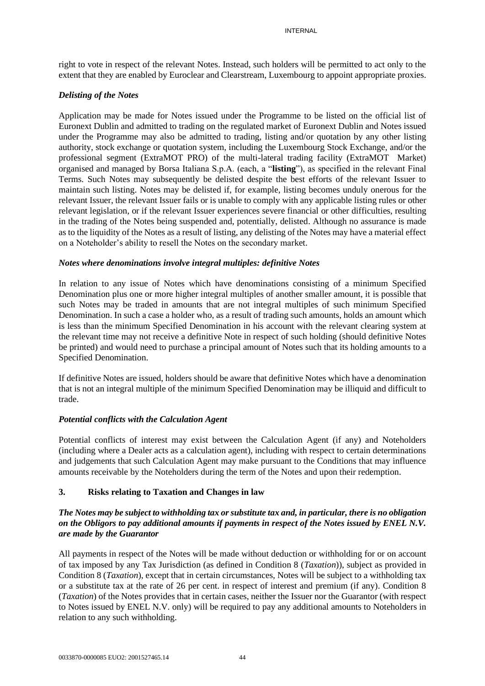right to vote in respect of the relevant Notes. Instead, such holders will be permitted to act only to the extent that they are enabled by Euroclear and Clearstream, Luxembourg to appoint appropriate proxies.

# *Delisting of the Notes*

Application may be made for Notes issued under the Programme to be listed on the official list of Euronext Dublin and admitted to trading on the regulated market of Euronext Dublin and Notes issued under the Programme may also be admitted to trading, listing and/or quotation by any other listing authority, stock exchange or quotation system, including the Luxembourg Stock Exchange, and/or the professional segment (ExtraMOT PRO) of the multi-lateral trading facility (ExtraMOT Market) organised and managed by Borsa Italiana S.p.A. (each, a "**listing**"), as specified in the relevant Final Terms. Such Notes may subsequently be delisted despite the best efforts of the relevant Issuer to maintain such listing. Notes may be delisted if, for example, listing becomes unduly onerous for the relevant Issuer, the relevant Issuer fails or is unable to comply with any applicable listing rules or other relevant legislation, or if the relevant Issuer experiences severe financial or other difficulties, resulting in the trading of the Notes being suspended and, potentially, delisted. Although no assurance is made as to the liquidity of the Notes as a result of listing, any delisting of the Notes may have a material effect on a Noteholder's ability to resell the Notes on the secondary market.

# *Notes where denominations involve integral multiples: definitive Notes*

In relation to any issue of Notes which have denominations consisting of a minimum Specified Denomination plus one or more higher integral multiples of another smaller amount, it is possible that such Notes may be traded in amounts that are not integral multiples of such minimum Specified Denomination. In such a case a holder who, as a result of trading such amounts, holds an amount which is less than the minimum Specified Denomination in his account with the relevant clearing system at the relevant time may not receive a definitive Note in respect of such holding (should definitive Notes be printed) and would need to purchase a principal amount of Notes such that its holding amounts to a Specified Denomination.

If definitive Notes are issued, holders should be aware that definitive Notes which have a denomination that is not an integral multiple of the minimum Specified Denomination may be illiquid and difficult to trade.

# *Potential conflicts with the Calculation Agent*

Potential conflicts of interest may exist between the Calculation Agent (if any) and Noteholders (including where a Dealer acts as a calculation agent), including with respect to certain determinations and judgements that such Calculation Agent may make pursuant to the Conditions that may influence amounts receivable by the Noteholders during the term of the Notes and upon their redemption.

# **3. Risks relating to Taxation and Changes in law**

## *The Notes may be subject to withholding tax or substitute tax and, in particular, there is no obligation on the Obligors to pay additional amounts if payments in respect of the Notes issued by ENEL N.V. are made by the Guarantor*

All payments in respect of the Notes will be made without deduction or withholding for or on account of tax imposed by any Tax Jurisdiction (as defined in Condition 8 (*Taxation*)), subject as provided in Condition 8 (*Taxation*), except that in certain circumstances, Notes will be subject to a withholding tax or a substitute tax at the rate of 26 per cent. in respect of interest and premium (if any). Condition 8 (*Taxation*) of the Notes provides that in certain cases, neither the Issuer nor the Guarantor (with respect to Notes issued by ENEL N.V. only) will be required to pay any additional amounts to Noteholders in relation to any such withholding.